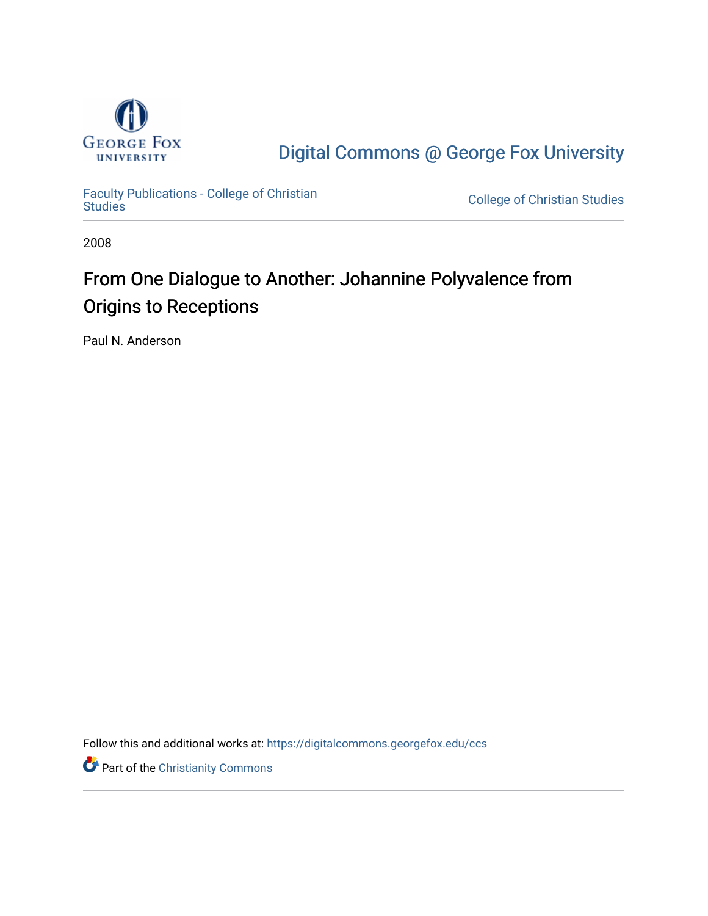

[Digital Commons @ George Fox University](https://digitalcommons.georgefox.edu/) 

[Faculty Publications - College of Christian](https://digitalcommons.georgefox.edu/ccs) 

**College of Christian Studies** 

2008

# From One Dialogue to Another: Johannine Polyvalence from Origins to Receptions

Paul N. Anderson

Follow this and additional works at: [https://digitalcommons.georgefox.edu/ccs](https://digitalcommons.georgefox.edu/ccs?utm_source=digitalcommons.georgefox.edu%2Fccs%2F369&utm_medium=PDF&utm_campaign=PDFCoverPages) 

Part of the [Christianity Commons](http://network.bepress.com/hgg/discipline/1181?utm_source=digitalcommons.georgefox.edu%2Fccs%2F369&utm_medium=PDF&utm_campaign=PDFCoverPages)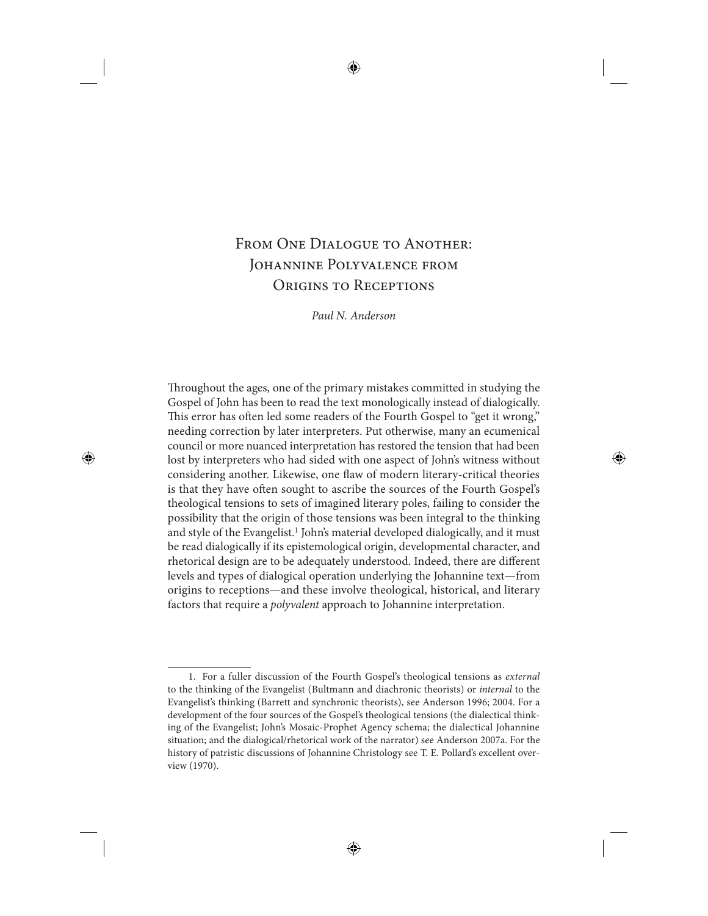# FROM ONE DIALOGUE TO ANOTHER: Johannine Polyvalence from Origins to Receptions

*Paul N. Anderson*

Throughout the ages, one of the primary mistakes committed in studying the Gospel of John has been to read the text monologically instead of dialogically. This error has often led some readers of the Fourth Gospel to "get it wrong," needing correction by later interpreters. Put otherwise, many an ecumenical council or more nuanced interpretation has restored the tension that had been lost by interpreters who had sided with one aspect of John's witness without considering another. Likewise, one flaw of modern literary-critical theories is that they have often sought to ascribe the sources of the Fourth Gospel's theological tensions to sets of imagined literary poles, failing to consider the possibility that the origin of those tensions was been integral to the thinking and style of the Evangelist.<sup>1</sup> John's material developed dialogically, and it must be read dialogically if its epistemological origin, developmental character, and rhetorical design are to be adequately understood. Indeed, there are different levels and types of dialogical operation underlying the Johannine text—from origins to receptions—and these involve theological, historical, and literary factors that require a *polyvalent* approach to Johannine interpretation.

<sup>.</sup> For a fuller discussion of the Fourth Gospel's theological tensions as *external* to the thinking of the Evangelist (Bultmann and diachronic theorists) or *internal* to the Evangelist's thinking (Barrett and synchronic theorists), see Anderson 1996; 2004. For a development of the four sources of the Gospel's theological tensions (the dialectical thinking of the Evangelist; John's Mosaic-Prophet Agency schema; the dialectical Johannine situation; and the dialogical/rhetorical work of the narrator) see Anderson 2007a. For the history of patristic discussions of Johannine Christology see T. E. Pollard's excellent overview (1970).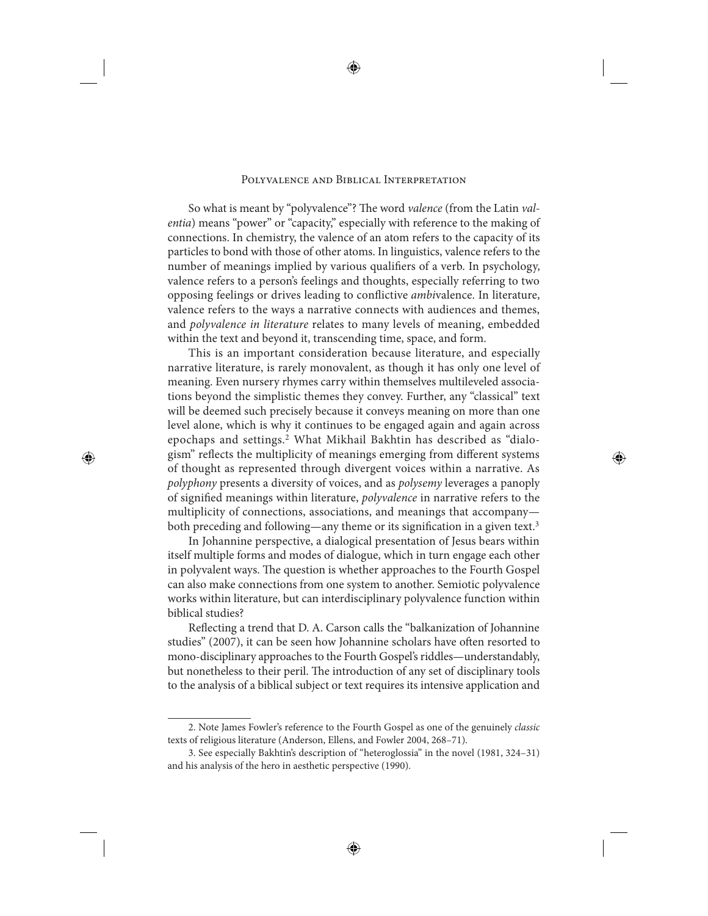#### Polyvalence and Biblical Interpretation

So what is meant by "polyvalence"? The word *valence* (from the Latin *valentia*) means "power" or "capacity," especially with reference to the making of connections. In chemistry, the valence of an atom refers to the capacity of its particles to bond with those of other atoms. In linguistics, valence refers to the number of meanings implied by various qualifiers of a verb. In psychology, valence refers to a person's feelings and thoughts, especially referring to two opposing feelings or drives leading to conflictive *ambi*valence. In literature, valence refers to the ways a narrative connects with audiences and themes, and *polyvalence in literature* relates to many levels of meaning, embedded within the text and beyond it, transcending time, space, and form.

This is an important consideration because literature, and especially narrative literature, is rarely monovalent, as though it has only one level of meaning. Even nursery rhymes carry within themselves multileveled associations beyond the simplistic themes they convey. Further, any "classical" text will be deemed such precisely because it conveys meaning on more than one level alone, which is why it continues to be engaged again and again across epochaps and settings. What Mikhail Bakhtin has described as "dialogism" reflects the multiplicity of meanings emerging from different systems of thought as represented through divergent voices within a narrative. As *polyphony* presents a diversity of voices, and as *polysemy* leverages a panoply of signified meanings within literature, *polyvalence* in narrative refers to the multiplicity of connections, associations, and meanings that accompany both preceding and following—any theme or its signification in a given text.<sup>3</sup>

In Johannine perspective, a dialogical presentation of Jesus bears within itself multiple forms and modes of dialogue, which in turn engage each other in polyvalent ways. The question is whether approaches to the Fourth Gospel can also make connections from one system to another. Semiotic polyvalence works within literature, but can interdisciplinary polyvalence function within biblical studies?

Reflecting a trend that D. A. Carson calls the "balkanization of Johannine studies" (2007), it can be seen how Johannine scholars have often resorted to mono-disciplinary approaches to the Fourth Gospel's riddles—understandably, but nonetheless to their peril. The introduction of any set of disciplinary tools to the analysis of a biblical subject or text requires its intensive application and

<sup>.</sup> Note James Fowler's reference to the Fourth Gospel as one of the genuinely *classic* texts of religious literature (Anderson, Ellens, and Fowler 2004, 268–71).

<sup>.</sup> See especially Bakhtin's description of "heteroglossia" in the novel (1981, 324–31) and his analysis of the hero in aesthetic perspective (1990).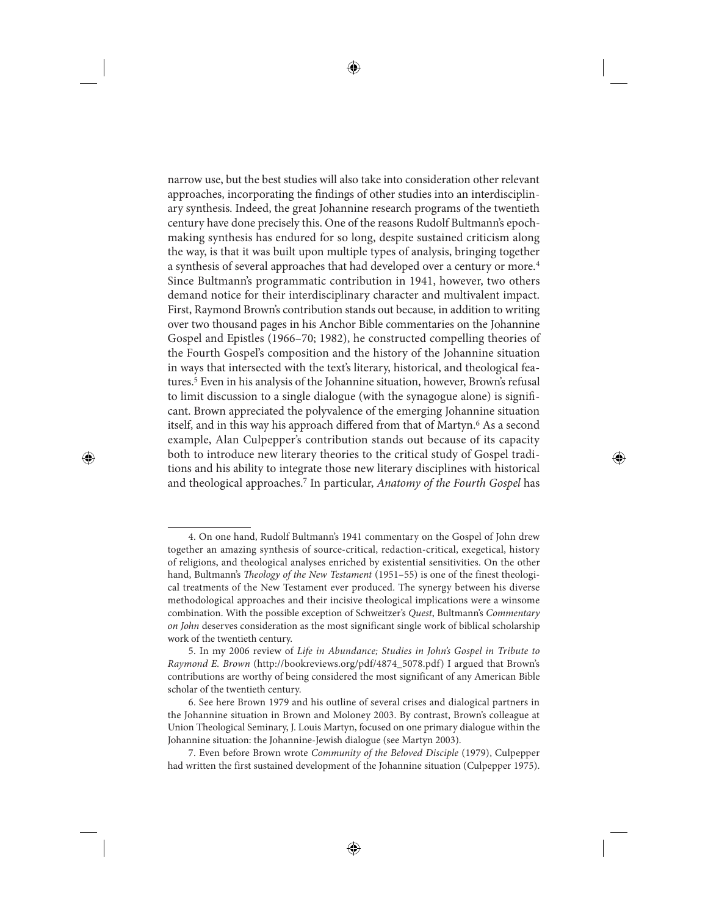narrow use, but the best studies will also take into consideration other relevant approaches, incorporating the findings of other studies into an interdisciplinary synthesis. Indeed, the great Johannine research programs of the twentieth century have done precisely this. One of the reasons Rudolf Bultmann's epochmaking synthesis has endured for so long, despite sustained criticism along the way, is that it was built upon multiple types of analysis, bringing together a synthesis of several approaches that had developed over a century or more. Since Bultmann's programmatic contribution in 1941, however, two others demand notice for their interdisciplinary character and multivalent impact. First, Raymond Brown's contribution stands out because, in addition to writing over two thousand pages in his Anchor Bible commentaries on the Johannine Gospel and Epistles (1966–70; 1982), he constructed compelling theories of the Fourth Gospel's composition and the history of the Johannine situation in ways that intersected with the text's literary, historical, and theological features.<sup>5</sup> Even in his analysis of the Johannine situation, however, Brown's refusal to limit discussion to a single dialogue (with the synagogue alone) is significant. Brown appreciated the polyvalence of the emerging Johannine situation itself, and in this way his approach differed from that of Martyn.<sup>6</sup> As a second example, Alan Culpepper's contribution stands out because of its capacity both to introduce new literary theories to the critical study of Gospel traditions and his ability to integrate those new literary disciplines with historical and theological approaches.<sup>7</sup> In particular, *Anatomy of the Fourth Gospel* has

<sup>.</sup> On one hand, Rudolf Bultmann's 1941 commentary on the Gospel of John drew together an amazing synthesis of source-critical, redaction-critical, exegetical, history of religions, and theological analyses enriched by existential sensitivities. On the other hand, Bultmann's *Theology of the New Testament* (1951–55) is one of the finest theological treatments of the New Testament ever produced. The synergy between his diverse methodological approaches and their incisive theological implications were a winsome combination. With the possible exception of Schweitzer's *Quest*, Bultmann's *Commentary on John* deserves consideration as the most significant single work of biblical scholarship work of the twentieth century.

<sup>.</sup> In my 2006 review of *Life in Abundance; Studies in John's Gospel in Tribute to Raymond E. Brown* (http://bookreviews.org/pdf/4874\_5078.pdf) I argued that Brown's contributions are worthy of being considered the most significant of any American Bible scholar of the twentieth century.

<sup>.</sup> See here Brown 1979 and his outline of several crises and dialogical partners in the Johannine situation in Brown and Moloney 2003. By contrast, Brown's colleague at Union Theological Seminary, J. Louis Martyn, focused on one primary dialogue within the Johannine situation: the Johannine-Jewish dialogue (see Martyn 2003).

<sup>.</sup> Even before Brown wrote *Community of the Beloved Disciple* (1979), Culpepper had written the first sustained development of the Johannine situation (Culpepper 1975).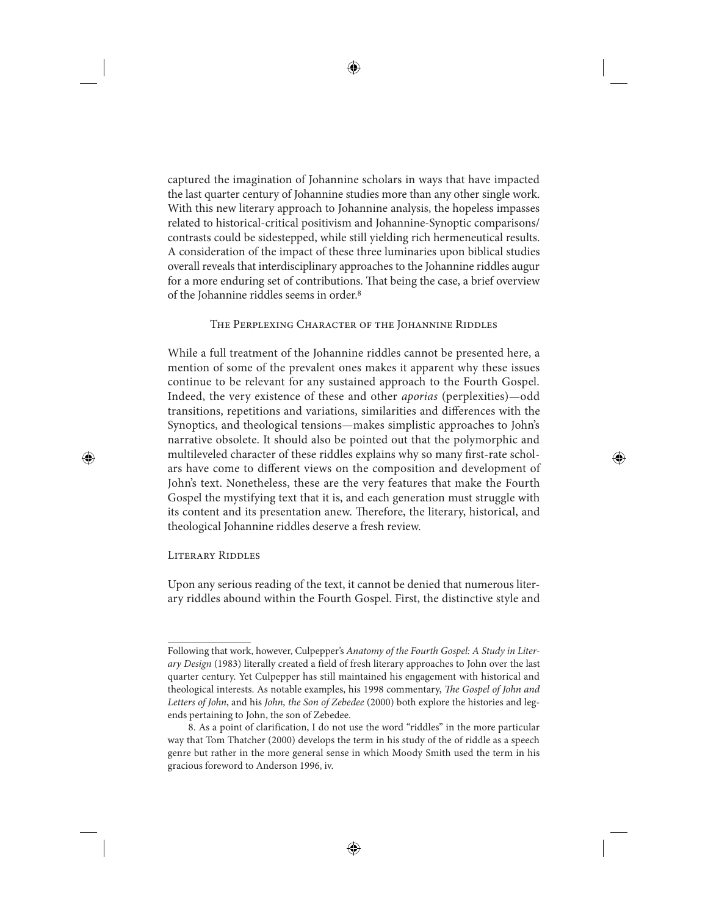captured the imagination of Johannine scholars in ways that have impacted the last quarter century of Johannine studies more than any other single work. With this new literary approach to Johannine analysis, the hopeless impasses related to historical-critical positivism and Johannine-Synoptic comparisons/ contrasts could be sidestepped, while still yielding rich hermeneutical results. A consideration of the impact of these three luminaries upon biblical studies overall reveals that interdisciplinary approaches to the Johannine riddles augur for a more enduring set of contributions. That being the case, a brief overview of the Johannine riddles seems in order.

# The Perplexing Character of the Johannine Riddles

While a full treatment of the Johannine riddles cannot be presented here, a mention of some of the prevalent ones makes it apparent why these issues continue to be relevant for any sustained approach to the Fourth Gospel. Indeed, the very existence of these and other *aporias* (perplexities)—odd transitions, repetitions and variations, similarities and differences with the Synoptics, and theological tensions—makes simplistic approaches to John's narrative obsolete. It should also be pointed out that the polymorphic and multileveled character of these riddles explains why so many first-rate scholars have come to different views on the composition and development of John's text. Nonetheless, these are the very features that make the Fourth Gospel the mystifying text that it is, and each generation must struggle with its content and its presentation anew. Therefore, the literary, historical, and theological Johannine riddles deserve a fresh review.

## LITERARY RIDDLES

Upon any serious reading of the text, it cannot be denied that numerous literary riddles abound within the Fourth Gospel. First, the distinctive style and

Following that work, however, Culpepper's *Anatomy of the Fourth Gospel: A Study in Literary Design* (1983) literally created a field of fresh literary approaches to John over the last quarter century. Yet Culpepper has still maintained his engagement with historical and theological interests. As notable examples, his 1998 commentary, *The Gospel of John and Letters of John*, and his *John, the Son of Zebedee* (2000) both explore the histories and legends pertaining to John, the son of Zebedee.

<sup>.</sup> As a point of clarification, I do not use the word "riddles" in the more particular way that Tom Thatcher (2000) develops the term in his study of the of riddle as a speech genre but rather in the more general sense in which Moody Smith used the term in his gracious foreword to Anderson 1996, iv.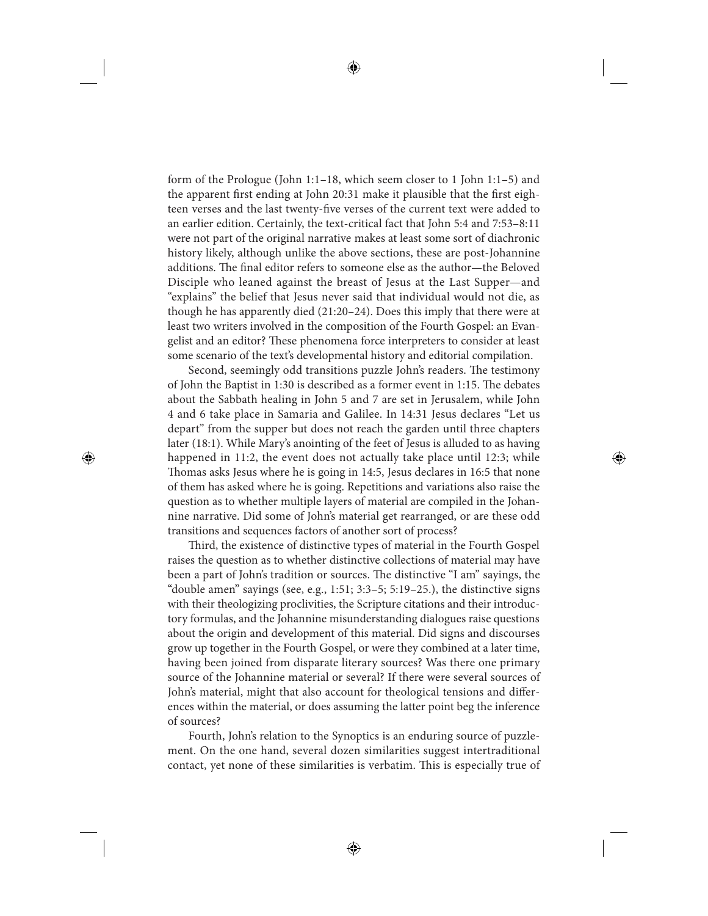form of the Prologue (John 1:1–18, which seem closer to 1 John 1:1–5) and the apparent first ending at John 20:31 make it plausible that the first eighteen verses and the last twenty-five verses of the current text were added to an earlier edition. Certainly, the text-critical fact that John 5:4 and 7:53–8:11 were not part of the original narrative makes at least some sort of diachronic history likely, although unlike the above sections, these are post-Johannine additions. The final editor refers to someone else as the author—the Beloved Disciple who leaned against the breast of Jesus at the Last Supper—and "explains" the belief that Jesus never said that individual would not die, as though he has apparently died (21:20–24). Does this imply that there were at least two writers involved in the composition of the Fourth Gospel: an Evangelist and an editor? These phenomena force interpreters to consider at least some scenario of the text's developmental history and editorial compilation.

Second, seemingly odd transitions puzzle John's readers. The testimony of John the Baptist in 1:30 is described as a former event in 1:15. The debates about the Sabbath healing in John 5 and 7 are set in Jerusalem, while John 4 and 6 take place in Samaria and Galilee. In 14:31 Jesus declares "Let us depart" from the supper but does not reach the garden until three chapters later (18:1). While Mary's anointing of the feet of Jesus is alluded to as having happened in 11:2, the event does not actually take place until 12:3; while Thomas asks Jesus where he is going in 14:5, Jesus declares in 16:5 that none of them has asked where he is going. Repetitions and variations also raise the question as to whether multiple layers of material are compiled in the Johannine narrative. Did some of John's material get rearranged, or are these odd transitions and sequences factors of another sort of process?

Third, the existence of distinctive types of material in the Fourth Gospel raises the question as to whether distinctive collections of material may have been a part of John's tradition or sources. The distinctive "I am" sayings, the "double amen" sayings (see, e.g., 1:51; 3:3–5; 5:19–25.), the distinctive signs with their theologizing proclivities, the Scripture citations and their introductory formulas, and the Johannine misunderstanding dialogues raise questions about the origin and development of this material. Did signs and discourses grow up together in the Fourth Gospel, or were they combined at a later time, having been joined from disparate literary sources? Was there one primary source of the Johannine material or several? If there were several sources of John's material, might that also account for theological tensions and differences within the material, or does assuming the latter point beg the inference of sources?

Fourth, John's relation to the Synoptics is an enduring source of puzzlement. On the one hand, several dozen similarities suggest intertraditional contact, yet none of these similarities is verbatim. This is especially true of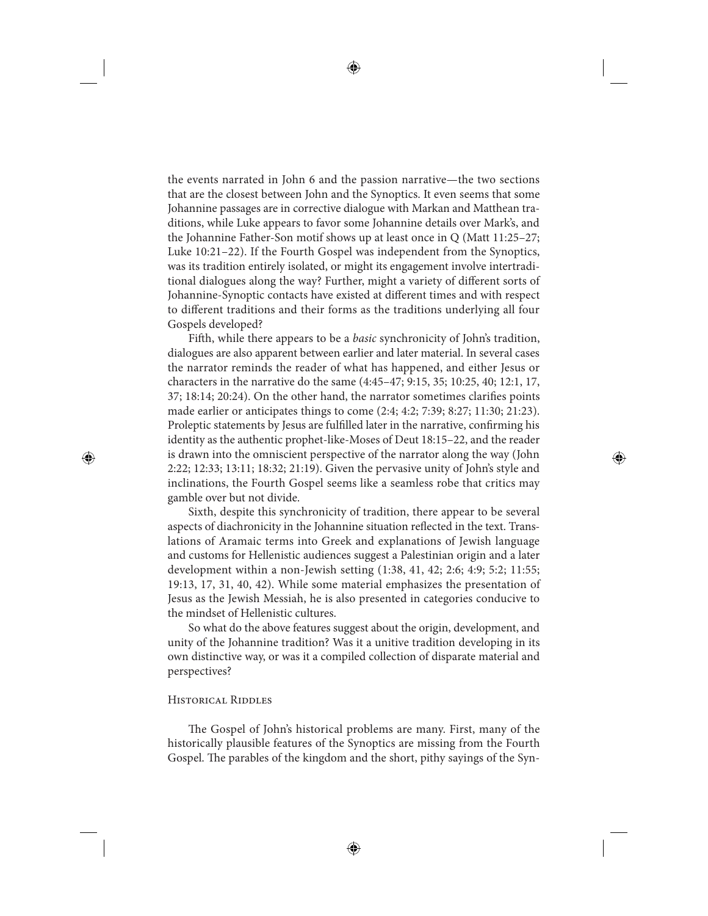the events narrated in John 6 and the passion narrative—the two sections that are the closest between John and the Synoptics. It even seems that some Johannine passages are in corrective dialogue with Markan and Matthean traditions, while Luke appears to favor some Johannine details over Mark's, and the Johannine Father-Son motif shows up at least once in Q (Matt 11:25–27; Luke 10:21–22). If the Fourth Gospel was independent from the Synoptics, was its tradition entirely isolated, or might its engagement involve intertraditional dialogues along the way? Further, might a variety of different sorts of Johannine-Synoptic contacts have existed at different times and with respect to different traditions and their forms as the traditions underlying all four Gospels developed?

Fifth, while there appears to be a *basic* synchronicity of John's tradition, dialogues are also apparent between earlier and later material. In several cases the narrator reminds the reader of what has happened, and either Jesus or characters in the narrative do the same (4:45–47; 9:15, 35; 10:25, 40; 12:1, 17, 37; 18:14; 20:24). On the other hand, the narrator sometimes clarifies points made earlier or anticipates things to come (2:4; 4:2; 7:39; 8:27; 11:30; 21:23). Proleptic statements by Jesus are fulfilled later in the narrative, confirming his identity as the authentic prophet-like-Moses of Deut 18:15–22, and the reader is drawn into the omniscient perspective of the narrator along the way (John 2:22; 12:33; 13:11; 18:32; 21:19). Given the pervasive unity of John's style and inclinations, the Fourth Gospel seems like a seamless robe that critics may gamble over but not divide.

Sixth, despite this synchronicity of tradition, there appear to be several aspects of diachronicity in the Johannine situation reflected in the text. Translations of Aramaic terms into Greek and explanations of Jewish language and customs for Hellenistic audiences suggest a Palestinian origin and a later development within a non-Jewish setting (1:38, 41, 42; 2:6; 4:9; 5:2; 11:55; 19:13, 17, 31, 40, 42). While some material emphasizes the presentation of Jesus as the Jewish Messiah, he is also presented in categories conducive to the mindset of Hellenistic cultures.

So what do the above features suggest about the origin, development, and unity of the Johannine tradition? Was it a unitive tradition developing in its own distinctive way, or was it a compiled collection of disparate material and perspectives?

#### Historical Riddles

The Gospel of John's historical problems are many. First, many of the historically plausible features of the Synoptics are missing from the Fourth Gospel. The parables of the kingdom and the short, pithy sayings of the Syn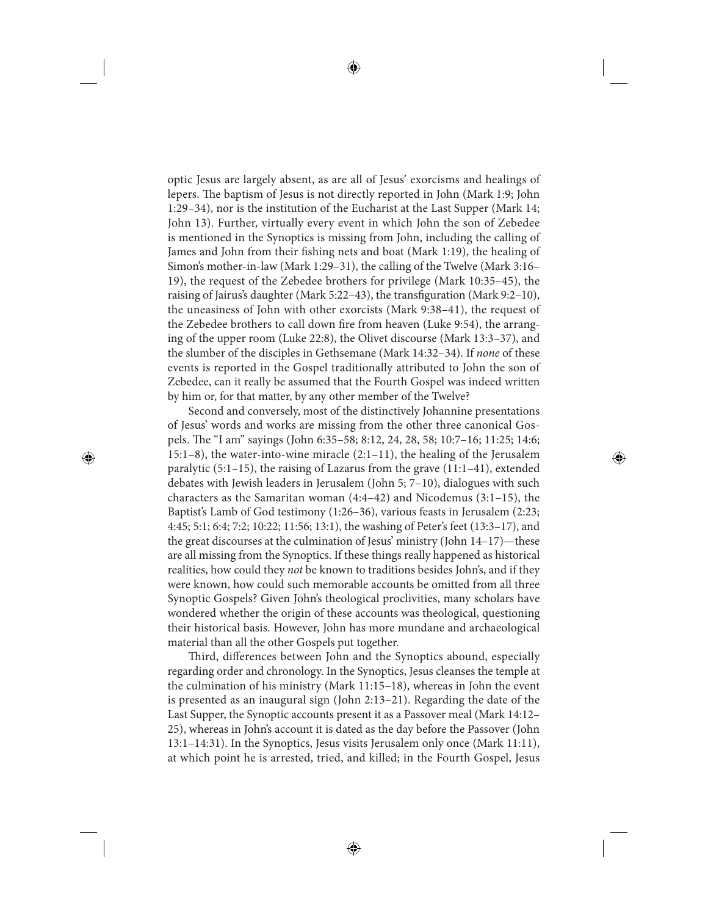optic Jesus are largely absent, as are all of Jesus' exorcisms and healings of lepers. The baptism of Jesus is not directly reported in John (Mark 1:9; John 1:29–34), nor is the institution of the Eucharist at the Last Supper (Mark 14; John 13). Further, virtually every event in which John the son of Zebedee is mentioned in the Synoptics is missing from John, including the calling of James and John from their fishing nets and boat (Mark 1:19), the healing of Simon's mother-in-law (Mark 1:29–31), the calling of the Twelve (Mark 3:16– 19), the request of the Zebedee brothers for privilege (Mark 10:35–45), the raising of Jairus's daughter (Mark 5:22–43), the transfiguration (Mark 9:2–10), the uneasiness of John with other exorcists (Mark 9:38–41), the request of the Zebedee brothers to call down fire from heaven (Luke 9:54), the arranging of the upper room (Luke 22:8), the Olivet discourse (Mark 13:3–37), and the slumber of the disciples in Gethsemane (Mark 14:32–34). If *none* of these events is reported in the Gospel traditionally attributed to John the son of Zebedee, can it really be assumed that the Fourth Gospel was indeed written by him or, for that matter, by any other member of the Twelve?

Second and conversely, most of the distinctively Johannine presentations of Jesus' words and works are missing from the other three canonical Gospels. The "I am" sayings (John 6:35–58; 8:12, 24, 28, 58; 10:7–16; 11:25; 14:6; 15:1–8), the water-into-wine miracle (2:1–11), the healing of the Jerusalem paralytic (5:1–15), the raising of Lazarus from the grave (11:1–41), extended debates with Jewish leaders in Jerusalem (John 5; 7–10), dialogues with such characters as the Samaritan woman (4:4–42) and Nicodemus (3:1–15), the Baptist's Lamb of God testimony (1:26–36), various feasts in Jerusalem (2:23; 4:45; 5:1; 6:4; 7:2; 10:22; 11:56; 13:1), the washing of Peter's feet (13:3–17), and the great discourses at the culmination of Jesus' ministry (John 14–17)—these are all missing from the Synoptics. If these things really happened as historical realities, how could they *not* be known to traditions besides John's, and if they were known, how could such memorable accounts be omitted from all three Synoptic Gospels? Given John's theological proclivities, many scholars have wondered whether the origin of these accounts was theological, questioning their historical basis. However, John has more mundane and archaeological material than all the other Gospels put together.

Third, differences between John and the Synoptics abound, especially regarding order and chronology. In the Synoptics, Jesus cleanses the temple at the culmination of his ministry (Mark 11:15–18), whereas in John the event is presented as an inaugural sign (John 2:13–21). Regarding the date of the Last Supper, the Synoptic accounts present it as a Passover meal (Mark 14:12– 25), whereas in John's account it is dated as the day before the Passover (John 13:1–14:31). In the Synoptics, Jesus visits Jerusalem only once (Mark 11:11), at which point he is arrested, tried, and killed; in the Fourth Gospel, Jesus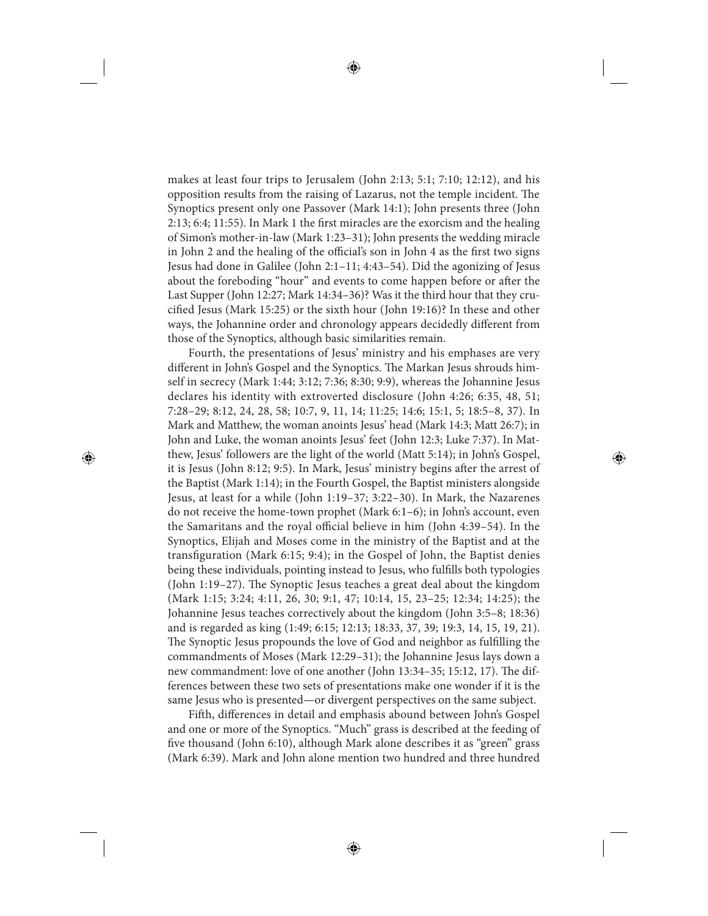makes at least four trips to Jerusalem (John 2:13; 5:1; 7:10; 12:12), and his opposition results from the raising of Lazarus, not the temple incident. The Synoptics present only one Passover (Mark 14:1); John presents three (John 2:13; 6:4; 11:55). In Mark 1 the first miracles are the exorcism and the healing of Simon's mother-in-law (Mark 1:23–31); John presents the wedding miracle in John 2 and the healing of the official's son in John 4 as the first two signs Jesus had done in Galilee (John 2:1–11; 4:43–54). Did the agonizing of Jesus about the foreboding "hour" and events to come happen before or after the Last Supper (John 12:27; Mark 14:34–36)? Was it the third hour that they crucified Jesus (Mark 15:25) or the sixth hour (John 19:16)? In these and other ways, the Johannine order and chronology appears decidedly different from those of the Synoptics, although basic similarities remain.

Fourth, the presentations of Jesus' ministry and his emphases are very different in John's Gospel and the Synoptics. The Markan Jesus shrouds himself in secrecy (Mark 1:44; 3:12; 7:36; 8:30; 9:9), whereas the Johannine Jesus declares his identity with extroverted disclosure (John 4:26; 6:35, 48, 51; 7:28–29; 8:12, 24, 28, 58; 10:7, 9, 11, 14; 11:25; 14:6; 15:1, 5; 18:5–8, 37). In Mark and Matthew, the woman anoints Jesus' head (Mark 14:3; Matt 26:7); in John and Luke, the woman anoints Jesus' feet (John 12:3; Luke 7:37). In Matthew, Jesus' followers are the light of the world (Matt 5:14); in John's Gospel, it is Jesus (John 8:12; 9:5). In Mark, Jesus' ministry begins after the arrest of the Baptist (Mark 1:14); in the Fourth Gospel, the Baptist ministers alongside Jesus, at least for a while (John 1:19–37; 3:22–30). In Mark, the Nazarenes do not receive the home-town prophet (Mark 6:1–6); in John's account, even the Samaritans and the royal official believe in him (John 4:39–54). In the Synoptics, Elijah and Moses come in the ministry of the Baptist and at the transfiguration (Mark 6:15; 9:4); in the Gospel of John, the Baptist denies being these individuals, pointing instead to Jesus, who fulfills both typologies (John 1:19–27). The Synoptic Jesus teaches a great deal about the kingdom (Mark 1:15; 3:24; 4:11, 26, 30; 9:1, 47; 10:14, 15, 23–25; 12:34; 14:25); the Johannine Jesus teaches correctively about the kingdom (John 3:5–8; 18:36) and is regarded as king (1:49; 6:15; 12:13; 18:33, 37, 39; 19:3, 14, 15, 19, 21). The Synoptic Jesus propounds the love of God and neighbor as fulfilling the commandments of Moses (Mark 12:29–31); the Johannine Jesus lays down a new commandment: love of one another (John 13:34–35; 15:12, 17). The differences between these two sets of presentations make one wonder if it is the same Jesus who is presented—or divergent perspectives on the same subject.

Fifth, differences in detail and emphasis abound between John's Gospel and one or more of the Synoptics. "Much" grass is described at the feeding of five thousand (John 6:10), although Mark alone describes it as "green" grass (Mark 6:39). Mark and John alone mention two hundred and three hundred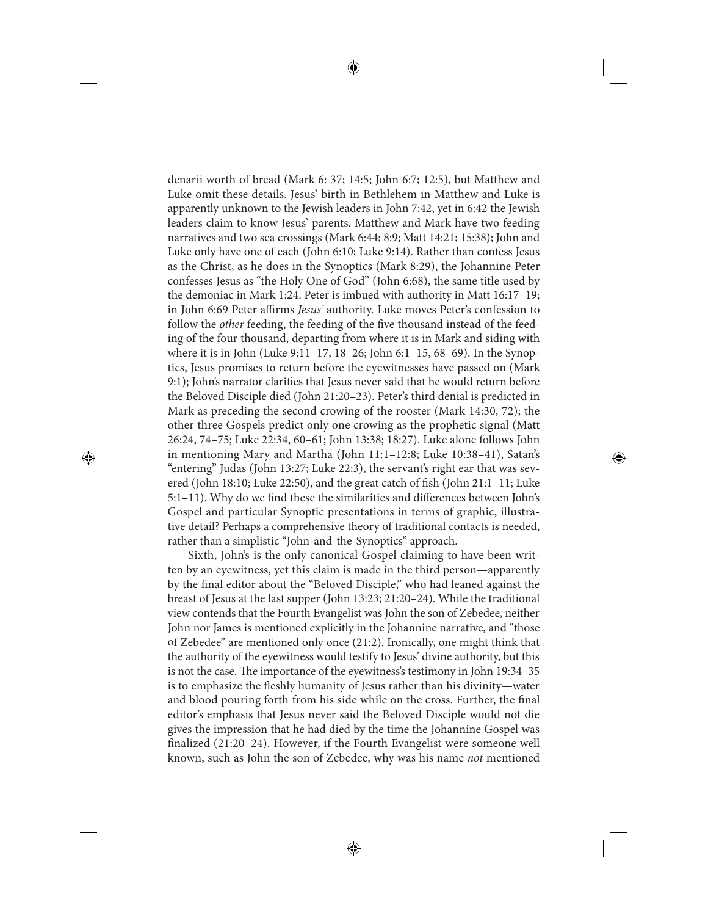denarii worth of bread (Mark 6: 37; 14:5; John 6:7; 12:5), but Matthew and Luke omit these details. Jesus' birth in Bethlehem in Matthew and Luke is apparently unknown to the Jewish leaders in John 7:42, yet in 6:42 the Jewish leaders claim to know Jesus' parents. Matthew and Mark have two feeding narratives and two sea crossings (Mark 6:44; 8:9; Matt 14:21; 15:38); John and Luke only have one of each (John 6:10; Luke 9:14). Rather than confess Jesus as the Christ, as he does in the Synoptics (Mark 8:29), the Johannine Peter confesses Jesus as "the Holy One of God" (John 6:68), the same title used by the demoniac in Mark 1:24. Peter is imbued with authority in Matt 16:17–19; in John 6:69 Peter affirms *Jesus'* authority. Luke moves Peter's confession to follow the *other* feeding, the feeding of the five thousand instead of the feeding of the four thousand, departing from where it is in Mark and siding with where it is in John (Luke 9:11–17, 18–26; John 6:1–15, 68–69). In the Synoptics, Jesus promises to return before the eyewitnesses have passed on (Mark 9:1); John's narrator clarifies that Jesus never said that he would return before the Beloved Disciple died (John 21:20–23). Peter's third denial is predicted in Mark as preceding the second crowing of the rooster (Mark 14:30, 72); the other three Gospels predict only one crowing as the prophetic signal (Matt 26:24, 74–75; Luke 22:34, 60–61; John 13:38; 18:27). Luke alone follows John in mentioning Mary and Martha (John 11:1–12:8; Luke 10:38–41), Satan's "entering" Judas (John 13:27; Luke 22:3), the servant's right ear that was severed (John 18:10; Luke 22:50), and the great catch of fish (John 21:1–11; Luke 5:1–11). Why do we find these the similarities and differences between John's Gospel and particular Synoptic presentations in terms of graphic, illustrative detail? Perhaps a comprehensive theory of traditional contacts is needed, rather than a simplistic "John-and-the-Synoptics" approach.

Sixth, John's is the only canonical Gospel claiming to have been written by an eyewitness, yet this claim is made in the third person—apparently by the final editor about the "Beloved Disciple," who had leaned against the breast of Jesus at the last supper (John 13:23; 21:20–24). While the traditional view contends that the Fourth Evangelist was John the son of Zebedee, neither John nor James is mentioned explicitly in the Johannine narrative, and "those of Zebedee" are mentioned only once (21:2). Ironically, one might think that the authority of the eyewitness would testify to Jesus' divine authority, but this is not the case. The importance of the eyewitness's testimony in John 19:34–35 is to emphasize the fleshly humanity of Jesus rather than his divinity—water and blood pouring forth from his side while on the cross. Further, the final editor's emphasis that Jesus never said the Beloved Disciple would not die gives the impression that he had died by the time the Johannine Gospel was finalized (21:20–24). However, if the Fourth Evangelist were someone well known, such as John the son of Zebedee, why was his name *not* mentioned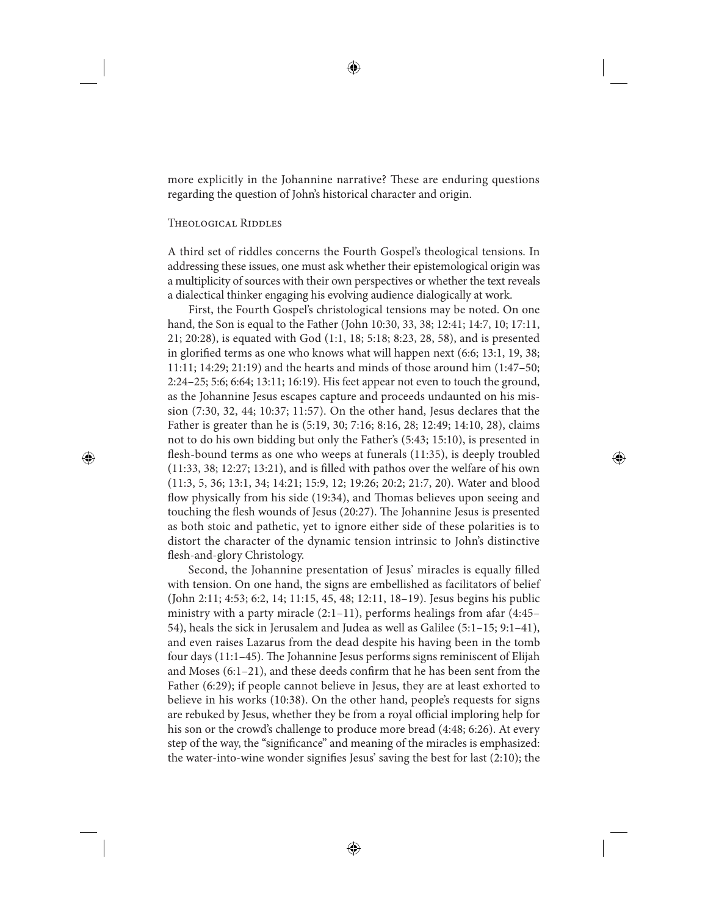more explicitly in the Johannine narrative? These are enduring questions regarding the question of John's historical character and origin.

#### Theological Riddles

A third set of riddles concerns the Fourth Gospel's theological tensions. In addressing these issues, one must ask whether their epistemological origin was a multiplicity of sources with their own perspectives or whether the text reveals a dialectical thinker engaging his evolving audience dialogically at work.

First, the Fourth Gospel's christological tensions may be noted. On one hand, the Son is equal to the Father (John 10:30, 33, 38; 12:41; 14:7, 10; 17:11, 21; 20:28), is equated with God (1:1, 18; 5:18; 8:23, 28, 58), and is presented in glorified terms as one who knows what will happen next (6:6; 13:1, 19, 38; 11:11; 14:29; 21:19) and the hearts and minds of those around him (1:47–50; 2:24–25; 5:6; 6:64; 13:11; 16:19). His feet appear not even to touch the ground, as the Johannine Jesus escapes capture and proceeds undaunted on his mission (7:30, 32, 44; 10:37; 11:57). On the other hand, Jesus declares that the Father is greater than he is (5:19, 30; 7:16; 8:16, 28; 12:49; 14:10, 28), claims not to do his own bidding but only the Father's (5:43; 15:10), is presented in flesh-bound terms as one who weeps at funerals (11:35), is deeply troubled (11:33, 38; 12:27; 13:21), and is filled with pathos over the welfare of his own (11:3, 5, 36; 13:1, 34; 14:21; 15:9, 12; 19:26; 20:2; 21:7, 20). Water and blood flow physically from his side (19:34), and Thomas believes upon seeing and touching the flesh wounds of Jesus (20:27). The Johannine Jesus is presented as both stoic and pathetic, yet to ignore either side of these polarities is to distort the character of the dynamic tension intrinsic to John's distinctive flesh-and-glory Christology.

Second, the Johannine presentation of Jesus' miracles is equally filled with tension. On one hand, the signs are embellished as facilitators of belief (John 2:11; 4:53; 6:2, 14; 11:15, 45, 48; 12:11, 18–19). Jesus begins his public ministry with a party miracle (2:1–11), performs healings from afar (4:45– 54), heals the sick in Jerusalem and Judea as well as Galilee (5:1–15; 9:1–41), and even raises Lazarus from the dead despite his having been in the tomb four days (11:1–45). The Johannine Jesus performs signs reminiscent of Elijah and Moses (6:1–21), and these deeds confirm that he has been sent from the Father (6:29); if people cannot believe in Jesus, they are at least exhorted to believe in his works (10:38). On the other hand, people's requests for signs are rebuked by Jesus, whether they be from a royal official imploring help for his son or the crowd's challenge to produce more bread (4:48; 6:26). At every step of the way, the "significance" and meaning of the miracles is emphasized: the water-into-wine wonder signifies Jesus' saving the best for last (2:10); the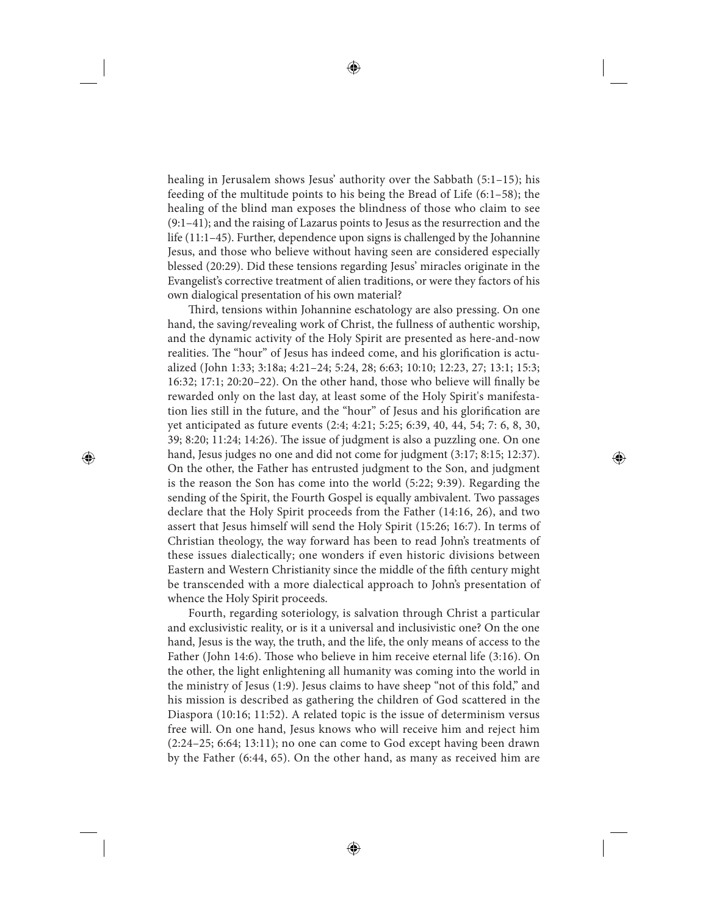healing in Jerusalem shows Jesus' authority over the Sabbath (5:1-15); his feeding of the multitude points to his being the Bread of Life (6:1–58); the healing of the blind man exposes the blindness of those who claim to see (9:1–41); and the raising of Lazarus points to Jesus as the resurrection and the life (11:1–45). Further, dependence upon signs is challenged by the Johannine Jesus, and those who believe without having seen are considered especially blessed (20:29). Did these tensions regarding Jesus' miracles originate in the Evangelist's corrective treatment of alien traditions, or were they factors of his own dialogical presentation of his own material?

Third, tensions within Johannine eschatology are also pressing. On one hand, the saving/revealing work of Christ, the fullness of authentic worship, and the dynamic activity of the Holy Spirit are presented as here-and-now realities. The "hour" of Jesus has indeed come, and his glorification is actualized (John 1:33; 3:18a; 4:21–24; 5:24, 28; 6:63; 10:10; 12:23, 27; 13:1; 15:3; 16:32; 17:1; 20:20–22). On the other hand, those who believe will finally be rewarded only on the last day, at least some of the Holy Spirit's manifestation lies still in the future, and the "hour" of Jesus and his glorification are yet anticipated as future events (2:4; 4:21; 5:25; 6:39, 40, 44, 54; 7: 6, 8, 30, 39; 8:20; 11:24; 14:26). The issue of judgment is also a puzzling one. On one hand, Jesus judges no one and did not come for judgment (3:17; 8:15; 12:37). On the other, the Father has entrusted judgment to the Son, and judgment is the reason the Son has come into the world (5:22; 9:39). Regarding the sending of the Spirit, the Fourth Gospel is equally ambivalent. Two passages declare that the Holy Spirit proceeds from the Father (14:16, 26), and two assert that Jesus himself will send the Holy Spirit (15:26; 16:7). In terms of Christian theology, the way forward has been to read John's treatments of these issues dialectically; one wonders if even historic divisions between Eastern and Western Christianity since the middle of the fifth century might be transcended with a more dialectical approach to John's presentation of whence the Holy Spirit proceeds.

Fourth, regarding soteriology, is salvation through Christ a particular and exclusivistic reality, or is it a universal and inclusivistic one? On the one hand, Jesus is the way, the truth, and the life, the only means of access to the Father (John 14:6). Those who believe in him receive eternal life (3:16). On the other, the light enlightening all humanity was coming into the world in the ministry of Jesus (1:9). Jesus claims to have sheep "not of this fold," and his mission is described as gathering the children of God scattered in the Diaspora (10:16; 11:52). A related topic is the issue of determinism versus free will. On one hand, Jesus knows who will receive him and reject him (2:24–25; 6:64; 13:11); no one can come to God except having been drawn by the Father (6:44, 65). On the other hand, as many as received him are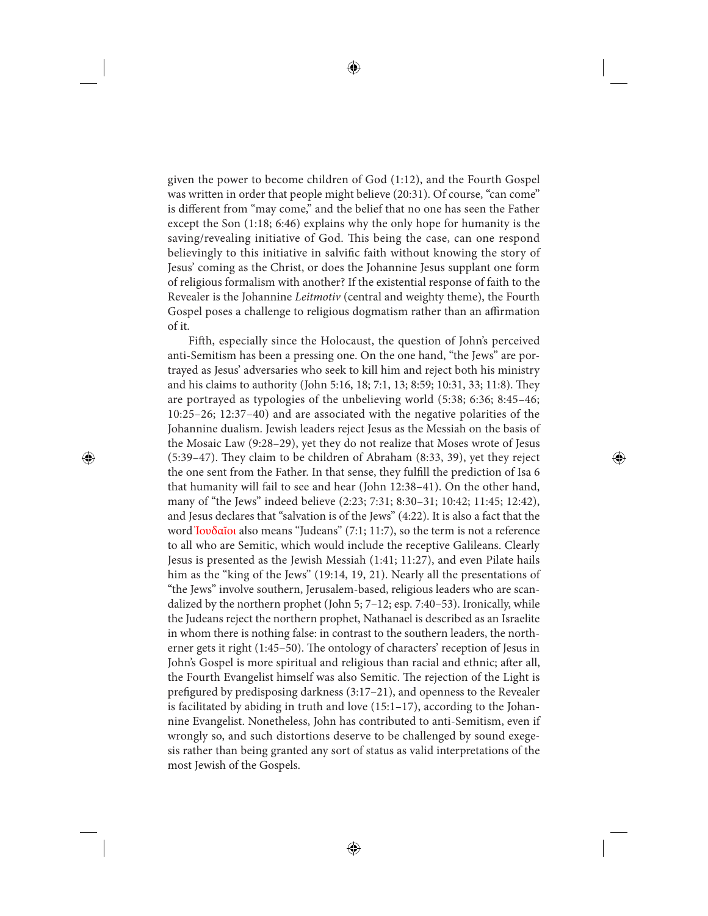given the power to become children of God (1:12), and the Fourth Gospel was written in order that people might believe (20:31). Of course, "can come" is different from "may come," and the belief that no one has seen the Father except the Son (1:18; 6:46) explains why the only hope for humanity is the saving/revealing initiative of God. This being the case, can one respond believingly to this initiative in salvific faith without knowing the story of Jesus' coming as the Christ, or does the Johannine Jesus supplant one form of religious formalism with another? If the existential response of faith to the Revealer is the Johannine *Leitmotiv* (central and weighty theme), the Fourth Gospel poses a challenge to religious dogmatism rather than an affirmation of it.

Fifth, especially since the Holocaust, the question of John's perceived anti-Semitism has been a pressing one. On the one hand, "the Jews" are portrayed as Jesus' adversaries who seek to kill him and reject both his ministry and his claims to authority (John 5:16, 18; 7:1, 13; 8:59; 10:31, 33; 11:8). They are portrayed as typologies of the unbelieving world (5:38; 6:36; 8:45–46; 10:25–26; 12:37–40) and are associated with the negative polarities of the Johannine dualism. Jewish leaders reject Jesus as the Messiah on the basis of the Mosaic Law (9:28–29), yet they do not realize that Moses wrote of Jesus (5:39–47). They claim to be children of Abraham (8:33, 39), yet they reject the one sent from the Father. In that sense, they fulfill the prediction of Isa 6 that humanity will fail to see and hear (John 12:38–41). On the other hand, many of "the Jews" indeed believe (2:23; 7:31; 8:30–31; 10:42; 11:45; 12:42), and Jesus declares that "salvation is of the Jews" (4:22). It is also a fact that the word <del>Ιουδαΐοι</del> also means "Judeans" (7:1; 11:7), so the term is not a reference to all who are Semitic, which would include the receptive Galileans. Clearly Jesus is presented as the Jewish Messiah (1:41; 11:27), and even Pilate hails him as the "king of the Jews" (19:14, 19, 21). Nearly all the presentations of "the Jews" involve southern, Jerusalem-based, religious leaders who are scandalized by the northern prophet (John 5; 7–12; esp. 7:40–53). Ironically, while the Judeans reject the northern prophet, Nathanael is described as an Israelite in whom there is nothing false: in contrast to the southern leaders, the northerner gets it right (1:45–50). The ontology of characters' reception of Jesus in John's Gospel is more spiritual and religious than racial and ethnic; after all, the Fourth Evangelist himself was also Semitic. The rejection of the Light is prefigured by predisposing darkness (3:17–21), and openness to the Revealer is facilitated by abiding in truth and love (15:1–17), according to the Johannine Evangelist. Nonetheless, John has contributed to anti-Semitism, even if wrongly so, and such distortions deserve to be challenged by sound exegesis rather than being granted any sort of status as valid interpretations of the most Jewish of the Gospels.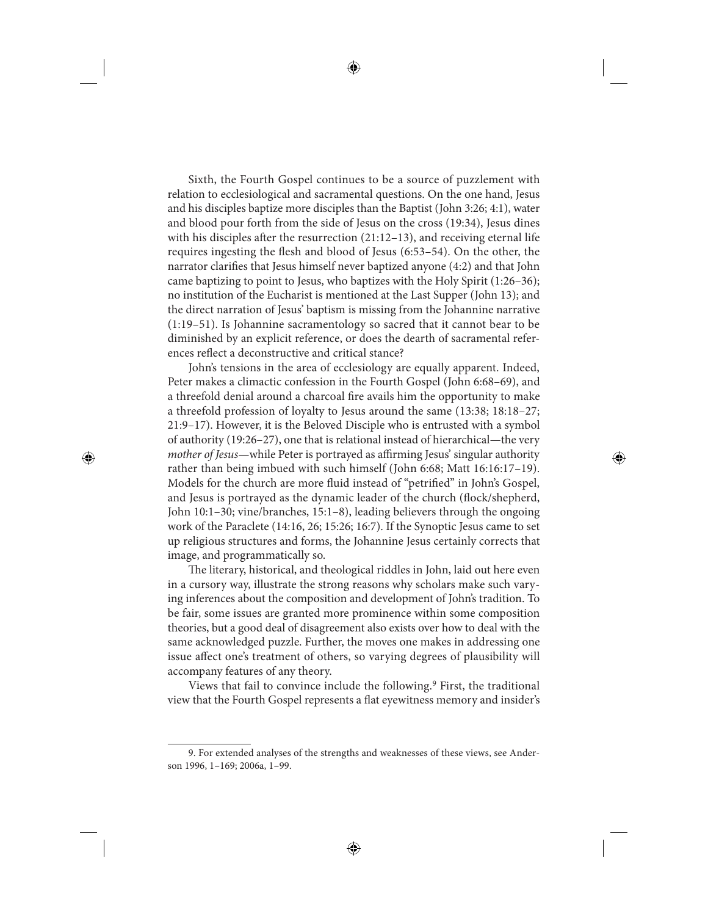Sixth, the Fourth Gospel continues to be a source of puzzlement with relation to ecclesiological and sacramental questions. On the one hand, Jesus and his disciples baptize more disciples than the Baptist (John 3:26; 4:1), water and blood pour forth from the side of Jesus on the cross (19:34), Jesus dines with his disciples after the resurrection (21:12–13), and receiving eternal life requires ingesting the flesh and blood of Jesus (6:53–54). On the other, the narrator clarifies that Jesus himself never baptized anyone (4:2) and that John came baptizing to point to Jesus, who baptizes with the Holy Spirit (1:26–36); no institution of the Eucharist is mentioned at the Last Supper (John 13); and the direct narration of Jesus' baptism is missing from the Johannine narrative (1:19–51). Is Johannine sacramentology so sacred that it cannot bear to be diminished by an explicit reference, or does the dearth of sacramental references reflect a deconstructive and critical stance?

John's tensions in the area of ecclesiology are equally apparent. Indeed, Peter makes a climactic confession in the Fourth Gospel (John 6:68–69), and a threefold denial around a charcoal fire avails him the opportunity to make a threefold profession of loyalty to Jesus around the same (13:38; 18:18–27; 21:9–17). However, it is the Beloved Disciple who is entrusted with a symbol of authority (19:26–27), one that is relational instead of hierarchical—the very *mother of Jesus*—while Peter is portrayed as affirming Jesus' singular authority rather than being imbued with such himself (John 6:68; Matt 16:16:17–19). Models for the church are more fluid instead of "petrified" in John's Gospel, and Jesus is portrayed as the dynamic leader of the church (flock/shepherd, John 10:1–30; vine/branches, 15:1–8), leading believers through the ongoing work of the Paraclete (14:16, 26; 15:26; 16:7). If the Synoptic Jesus came to set up religious structures and forms, the Johannine Jesus certainly corrects that image, and programmatically so.

The literary, historical, and theological riddles in John, laid out here even in a cursory way, illustrate the strong reasons why scholars make such varying inferences about the composition and development of John's tradition. To be fair, some issues are granted more prominence within some composition theories, but a good deal of disagreement also exists over how to deal with the same acknowledged puzzle. Further, the moves one makes in addressing one issue affect one's treatment of others, so varying degrees of plausibility will accompany features of any theory.

Views that fail to convince include the following.<sup>9</sup> First, the traditional view that the Fourth Gospel represents a flat eyewitness memory and insider's

<sup>.</sup> For extended analyses of the strengths and weaknesses of these views, see Anderson 1996, 1–169; 2006a, 1–99.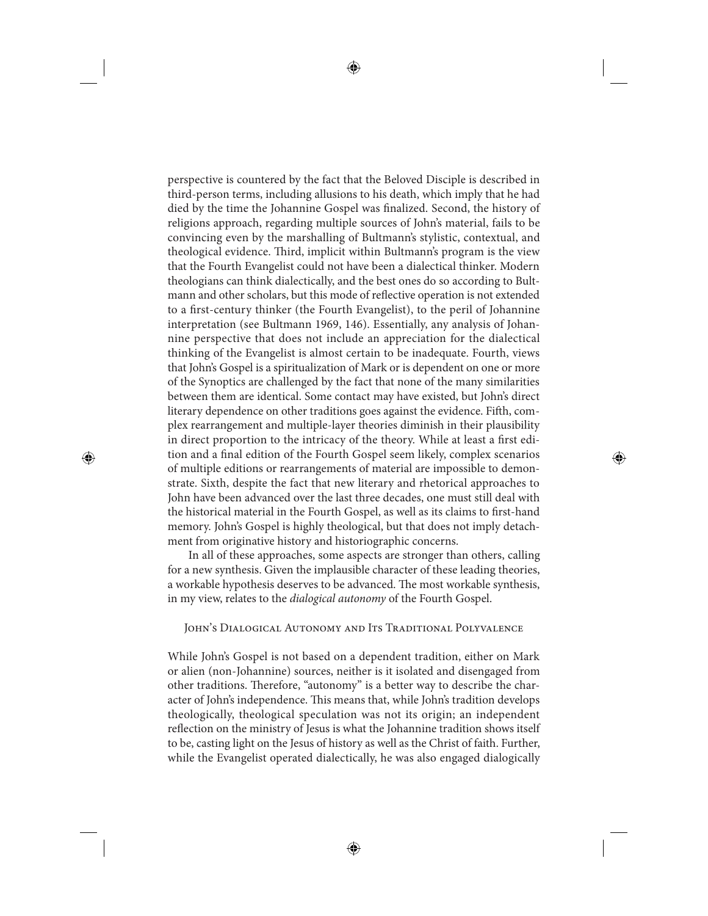perspective is countered by the fact that the Beloved Disciple is described in third-person terms, including allusions to his death, which imply that he had died by the time the Johannine Gospel was finalized. Second, the history of religions approach, regarding multiple sources of John's material, fails to be convincing even by the marshalling of Bultmann's stylistic, contextual, and theological evidence. Third, implicit within Bultmann's program is the view that the Fourth Evangelist could not have been a dialectical thinker. Modern theologians can think dialectically, and the best ones do so according to Bultmann and other scholars, but this mode of reflective operation is not extended to a first-century thinker (the Fourth Evangelist), to the peril of Johannine interpretation (see Bultmann 1969, 146). Essentially, any analysis of Johannine perspective that does not include an appreciation for the dialectical thinking of the Evangelist is almost certain to be inadequate. Fourth, views that John's Gospel is a spiritualization of Mark or is dependent on one or more of the Synoptics are challenged by the fact that none of the many similarities between them are identical. Some contact may have existed, but John's direct literary dependence on other traditions goes against the evidence. Fifth, complex rearrangement and multiple-layer theories diminish in their plausibility in direct proportion to the intricacy of the theory. While at least a first edition and a final edition of the Fourth Gospel seem likely, complex scenarios of multiple editions or rearrangements of material are impossible to demonstrate. Sixth, despite the fact that new literary and rhetorical approaches to John have been advanced over the last three decades, one must still deal with the historical material in the Fourth Gospel, as well as its claims to first-hand memory. John's Gospel is highly theological, but that does not imply detachment from originative history and historiographic concerns.

In all of these approaches, some aspects are stronger than others, calling for a new synthesis. Given the implausible character of these leading theories, a workable hypothesis deserves to be advanced. The most workable synthesis, in my view, relates to the *dialogical autonomy* of the Fourth Gospel.

### John's Dialogical Autonomy and Its Traditional Polyvalence

While John's Gospel is not based on a dependent tradition, either on Mark or alien (non-Johannine) sources, neither is it isolated and disengaged from other traditions. Therefore, "autonomy" is a better way to describe the character of John's independence. This means that, while John's tradition develops theologically, theological speculation was not its origin; an independent reflection on the ministry of Jesus is what the Johannine tradition shows itself to be, casting light on the Jesus of history as well as the Christ of faith. Further, while the Evangelist operated dialectically, he was also engaged dialogically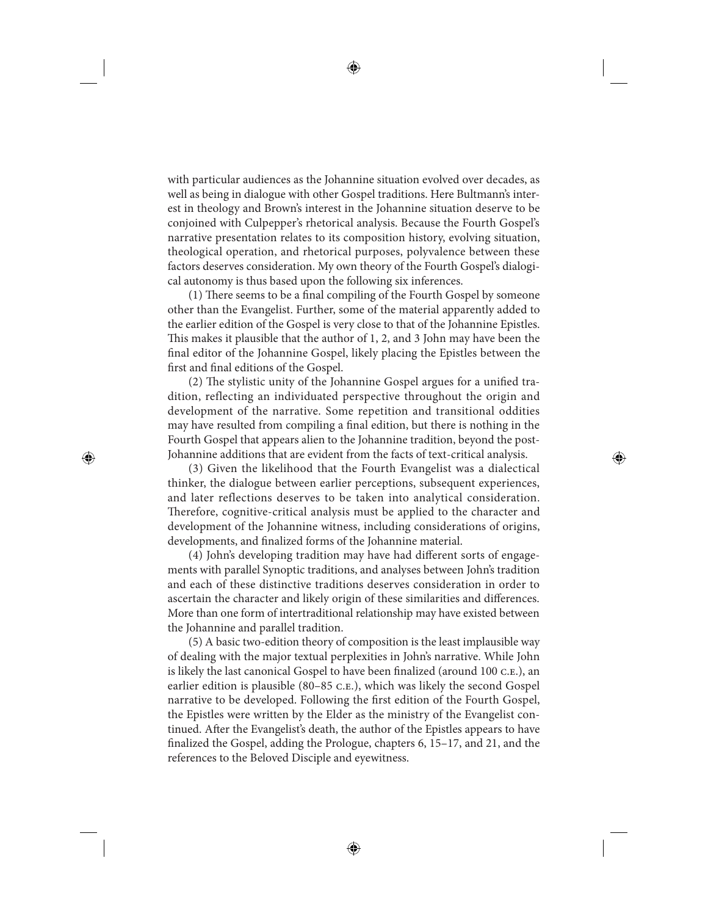with particular audiences as the Johannine situation evolved over decades, as well as being in dialogue with other Gospel traditions. Here Bultmann's interest in theology and Brown's interest in the Johannine situation deserve to be conjoined with Culpepper's rhetorical analysis. Because the Fourth Gospel's narrative presentation relates to its composition history, evolving situation, theological operation, and rhetorical purposes, polyvalence between these factors deserves consideration. My own theory of the Fourth Gospel's dialogical autonomy is thus based upon the following six inferences.

(1) There seems to be a final compiling of the Fourth Gospel by someone other than the Evangelist. Further, some of the material apparently added to the earlier edition of the Gospel is very close to that of the Johannine Epistles. This makes it plausible that the author of 1, 2, and 3 John may have been the final editor of the Johannine Gospel, likely placing the Epistles between the first and final editions of the Gospel.

(2) The stylistic unity of the Johannine Gospel argues for a unified tradition, reflecting an individuated perspective throughout the origin and development of the narrative. Some repetition and transitional oddities may have resulted from compiling a final edition, but there is nothing in the Fourth Gospel that appears alien to the Johannine tradition, beyond the post-Johannine additions that are evident from the facts of text-critical analysis.

(3) Given the likelihood that the Fourth Evangelist was a dialectical thinker, the dialogue between earlier perceptions, subsequent experiences, and later reflections deserves to be taken into analytical consideration. Therefore, cognitive-critical analysis must be applied to the character and development of the Johannine witness, including considerations of origins, developments, and finalized forms of the Johannine material.

(4) John's developing tradition may have had different sorts of engagements with parallel Synoptic traditions, and analyses between John's tradition and each of these distinctive traditions deserves consideration in order to ascertain the character and likely origin of these similarities and differences. More than one form of intertraditional relationship may have existed between the Johannine and parallel tradition.

(5) A basic two-edition theory of composition is the least implausible way of dealing with the major textual perplexities in John's narrative. While John is likely the last canonical Gospel to have been finalized (around 100 c.e.), an earlier edition is plausible (80–85 c.e.), which was likely the second Gospel narrative to be developed. Following the first edition of the Fourth Gospel, the Epistles were written by the Elder as the ministry of the Evangelist continued. After the Evangelist's death, the author of the Epistles appears to have finalized the Gospel, adding the Prologue, chapters 6, 15–17, and 21, and the references to the Beloved Disciple and eyewitness.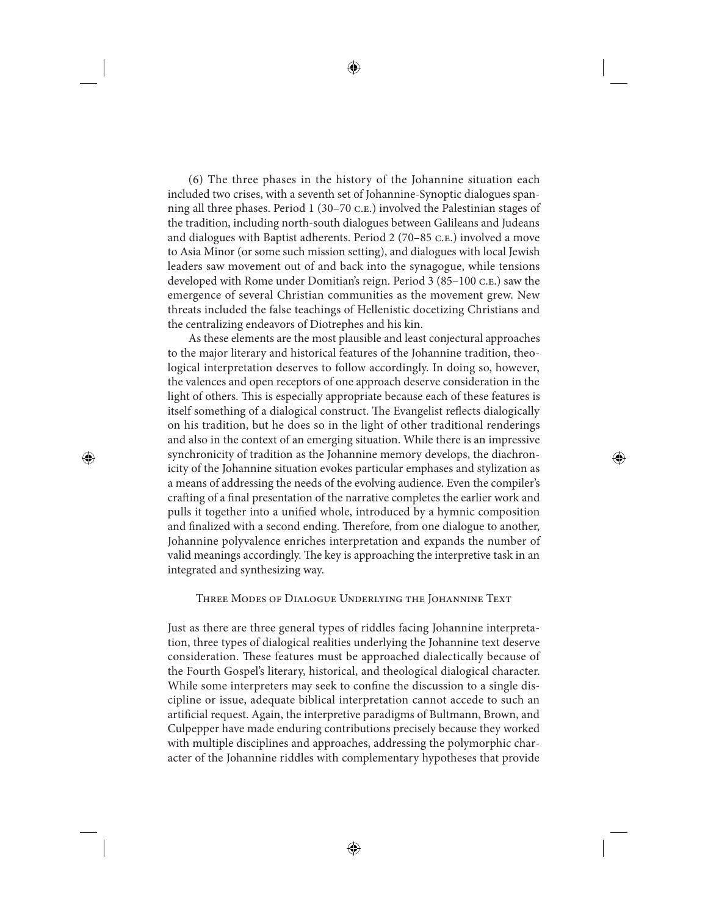(6) The three phases in the history of the Johannine situation each included two crises, with a seventh set of Johannine-Synoptic dialogues spanning all three phases. Period 1 (30–70 c.e.) involved the Palestinian stages of the tradition, including north-south dialogues between Galileans and Judeans and dialogues with Baptist adherents. Period 2 (70-85 c.E.) involved a move to Asia Minor (or some such mission setting), and dialogues with local Jewish leaders saw movement out of and back into the synagogue, while tensions developed with Rome under Domitian's reign. Period 3 (85–100 c.e.) saw the emergence of several Christian communities as the movement grew. New threats included the false teachings of Hellenistic docetizing Christians and the centralizing endeavors of Diotrephes and his kin.

As these elements are the most plausible and least conjectural approaches to the major literary and historical features of the Johannine tradition, theological interpretation deserves to follow accordingly. In doing so, however, the valences and open receptors of one approach deserve consideration in the light of others. This is especially appropriate because each of these features is itself something of a dialogical construct. The Evangelist reflects dialogically on his tradition, but he does so in the light of other traditional renderings and also in the context of an emerging situation. While there is an impressive synchronicity of tradition as the Johannine memory develops, the diachronicity of the Johannine situation evokes particular emphases and stylization as a means of addressing the needs of the evolving audience. Even the compiler's crafting of a final presentation of the narrative completes the earlier work and pulls it together into a unified whole, introduced by a hymnic composition and finalized with a second ending. Therefore, from one dialogue to another, Johannine polyvalence enriches interpretation and expands the number of valid meanings accordingly. The key is approaching the interpretive task in an integrated and synthesizing way.

#### Three Modes of Dialogue Underlying the Johannine Text

Just as there are three general types of riddles facing Johannine interpretation, three types of dialogical realities underlying the Johannine text deserve consideration. These features must be approached dialectically because of the Fourth Gospel's literary, historical, and theological dialogical character. While some interpreters may seek to confine the discussion to a single discipline or issue, adequate biblical interpretation cannot accede to such an artificial request. Again, the interpretive paradigms of Bultmann, Brown, and Culpepper have made enduring contributions precisely because they worked with multiple disciplines and approaches, addressing the polymorphic character of the Johannine riddles with complementary hypotheses that provide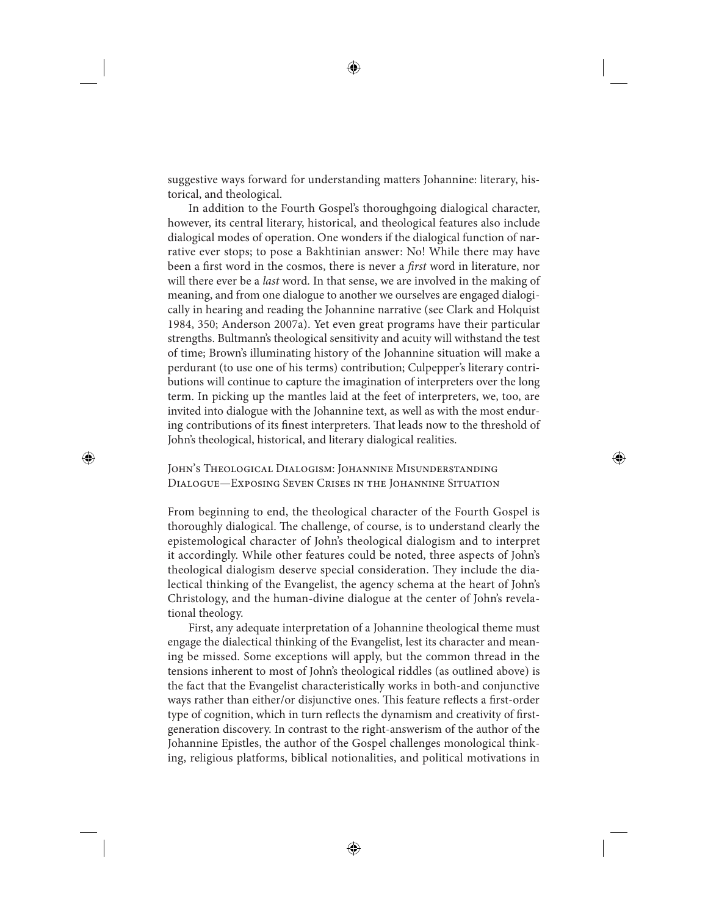suggestive ways forward for understanding matters Johannine: literary, historical, and theological.

In addition to the Fourth Gospel's thoroughgoing dialogical character, however, its central literary, historical, and theological features also include dialogical modes of operation. One wonders if the dialogical function of narrative ever stops; to pose a Bakhtinian answer: No! While there may have been a first word in the cosmos, there is never a *first* word in literature, nor will there ever be a *last* word. In that sense, we are involved in the making of meaning, and from one dialogue to another we ourselves are engaged dialogically in hearing and reading the Johannine narrative (see Clark and Holquist 1984, 350; Anderson 2007a). Yet even great programs have their particular strengths. Bultmann's theological sensitivity and acuity will withstand the test of time; Brown's illuminating history of the Johannine situation will make a perdurant (to use one of his terms) contribution; Culpepper's literary contributions will continue to capture the imagination of interpreters over the long term. In picking up the mantles laid at the feet of interpreters, we, too, are invited into dialogue with the Johannine text, as well as with the most enduring contributions of its finest interpreters. That leads now to the threshold of John's theological, historical, and literary dialogical realities.

John's Theological Dialogism: Johannine Misunderstanding Dialogue—Exposing Seven Crises in the Johannine Situation

From beginning to end, the theological character of the Fourth Gospel is thoroughly dialogical. The challenge, of course, is to understand clearly the epistemological character of John's theological dialogism and to interpret it accordingly. While other features could be noted, three aspects of John's theological dialogism deserve special consideration. They include the dialectical thinking of the Evangelist, the agency schema at the heart of John's Christology, and the human-divine dialogue at the center of John's revelational theology.

First, any adequate interpretation of a Johannine theological theme must engage the dialectical thinking of the Evangelist, lest its character and meaning be missed. Some exceptions will apply, but the common thread in the tensions inherent to most of John's theological riddles (as outlined above) is the fact that the Evangelist characteristically works in both-and conjunctive ways rather than either/or disjunctive ones. This feature reflects a first-order type of cognition, which in turn reflects the dynamism and creativity of firstgeneration discovery. In contrast to the right-answerism of the author of the Johannine Epistles, the author of the Gospel challenges monological thinking, religious platforms, biblical notionalities, and political motivations in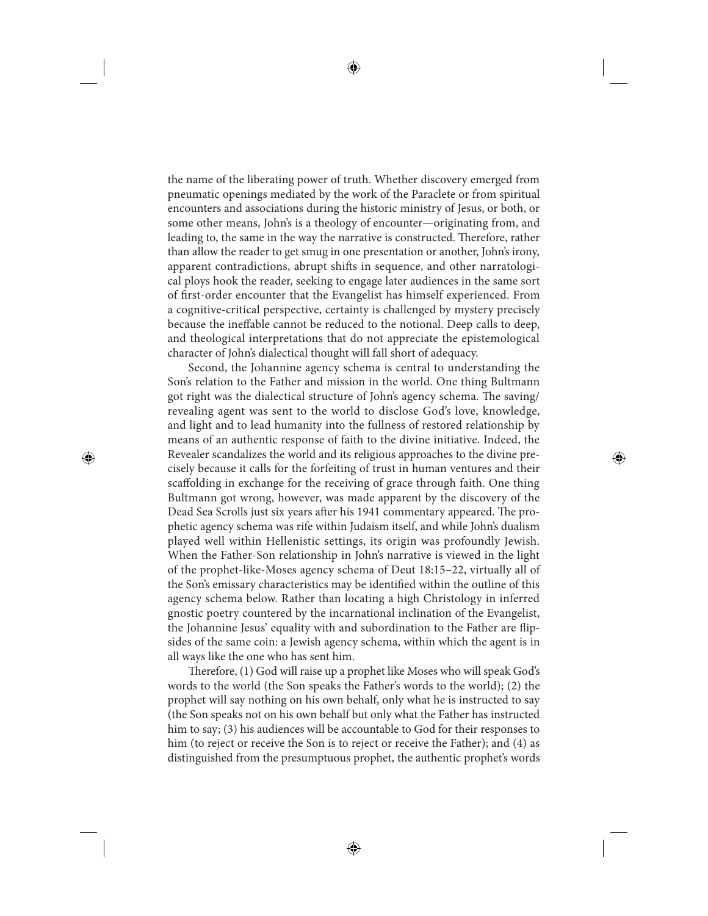the name of the liberating power of truth. Whether discovery emerged from pneumatic openings mediated by the work of the Paraclete or from spiritual encounters and associations during the historic ministry of Jesus, or both, or some other means, John's is a theology of encounter—originating from, and leading to, the same in the way the narrative is constructed. Therefore, rather than allow the reader to get smug in one presentation or another, John's irony, apparent contradictions, abrupt shifts in sequence, and other narratological ploys hook the reader, seeking to engage later audiences in the same sort of first-order encounter that the Evangelist has himself experienced. From a cognitive-critical perspective, certainty is challenged by mystery precisely because the ineffable cannot be reduced to the notional. Deep calls to deep, and theological interpretations that do not appreciate the epistemological character of John's dialectical thought will fall short of adequacy.

Second, the Johannine agency schema is central to understanding the Son's relation to the Father and mission in the world. One thing Bultmann got right was the dialectical structure of John's agency schema. The saving/ revealing agent was sent to the world to disclose God's love, knowledge, and light and to lead humanity into the fullness of restored relationship by means of an authentic response of faith to the divine initiative. Indeed, the Revealer scandalizes the world and its religious approaches to the divine precisely because it calls for the forfeiting of trust in human ventures and their scaffolding in exchange for the receiving of grace through faith. One thing Bultmann got wrong, however, was made apparent by the discovery of the Dead Sea Scrolls just six years after his 1941 commentary appeared. The prophetic agency schema was rife within Judaism itself, and while John's dualism played well within Hellenistic settings, its origin was profoundly Jewish. When the Father-Son relationship in John's narrative is viewed in the light of the prophet-like-Moses agency schema of Deut 18:15–22, virtually all of the Son's emissary characteristics may be identified within the outline of this agency schema below. Rather than locating a high Christology in inferred gnostic poetry countered by the incarnational inclination of the Evangelist, the Johannine Jesus' equality with and subordination to the Father are flipsides of the same coin: a Jewish agency schema, within which the agent is in all ways like the one who has sent him.

Therefore, (1) God will raise up a prophet like Moses who will speak God's words to the world (the Son speaks the Father's words to the world); (2) the prophet will say nothing on his own behalf, only what he is instructed to say (the Son speaks not on his own behalf but only what the Father has instructed him to say; (3) his audiences will be accountable to God for their responses to him (to reject or receive the Son is to reject or receive the Father); and (4) as distinguished from the presumptuous prophet, the authentic prophet's words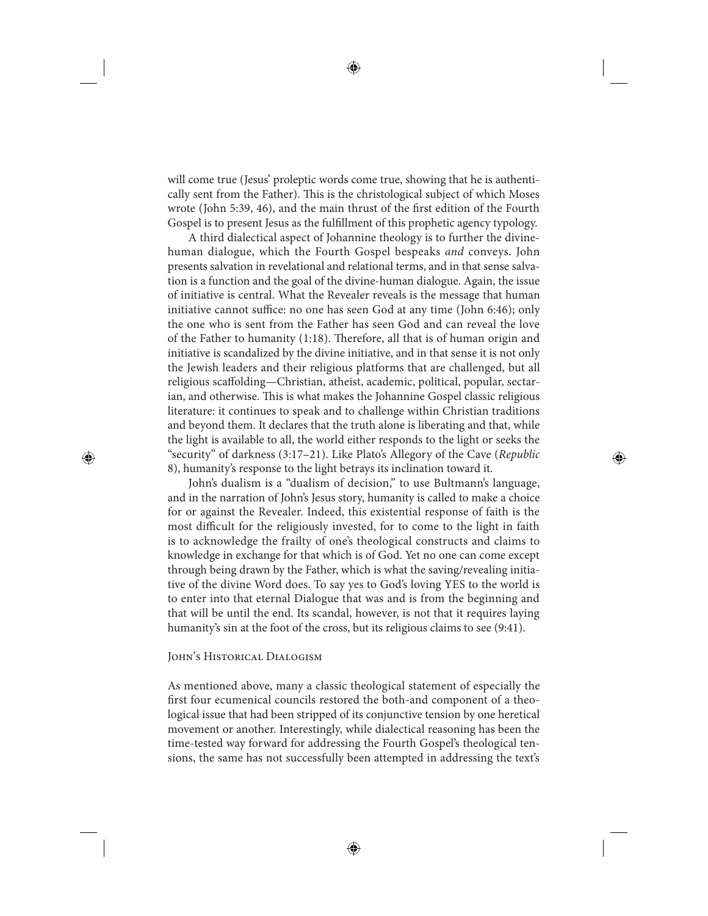will come true (Jesus' proleptic words come true, showing that he is authentically sent from the Father). This is the christological subject of which Moses wrote (John 5:39, 46), and the main thrust of the first edition of the Fourth Gospel is to present Jesus as the fulfillment of this prophetic agency typology.

A third dialectical aspect of Johannine theology is to further the divinehuman dialogue, which the Fourth Gospel bespeaks *and* conveys. John presents salvation in revelational and relational terms, and in that sense salvation is a function and the goal of the divine-human dialogue. Again, the issue of initiative is central. What the Revealer reveals is the message that human initiative cannot suffice: no one has seen God at any time (John 6:46); only the one who is sent from the Father has seen God and can reveal the love of the Father to humanity (1:18). Therefore, all that is of human origin and initiative is scandalized by the divine initiative, and in that sense it is not only the Jewish leaders and their religious platforms that are challenged, but all religious scaffolding—Christian, atheist, academic, political, popular, sectarian, and otherwise. This is what makes the Johannine Gospel classic religious literature: it continues to speak and to challenge within Christian traditions and beyond them. It declares that the truth alone is liberating and that, while the light is available to all, the world either responds to the light or seeks the "security" of darkness (3:17–21). Like Plato's Allegory of the Cave (*Republic*  8), humanity's response to the light betrays its inclination toward it.

John's dualism is a "dualism of decision," to use Bultmann's language, and in the narration of John's Jesus story, humanity is called to make a choice for or against the Revealer. Indeed, this existential response of faith is the most difficult for the religiously invested, for to come to the light in faith is to acknowledge the frailty of one's theological constructs and claims to knowledge in exchange for that which is of God. Yet no one can come except through being drawn by the Father, which is what the saving/revealing initiative of the divine Word does. To say yes to God's loving YES to the world is to enter into that eternal Dialogue that was and is from the beginning and that will be until the end. Its scandal, however, is not that it requires laying humanity's sin at the foot of the cross, but its religious claims to see (9:41).

#### John's Historical Dialogism

As mentioned above, many a classic theological statement of especially the first four ecumenical councils restored the both-and component of a theological issue that had been stripped of its conjunctive tension by one heretical movement or another. Interestingly, while dialectical reasoning has been the time-tested way forward for addressing the Fourth Gospel's theological tensions, the same has not successfully been attempted in addressing the text's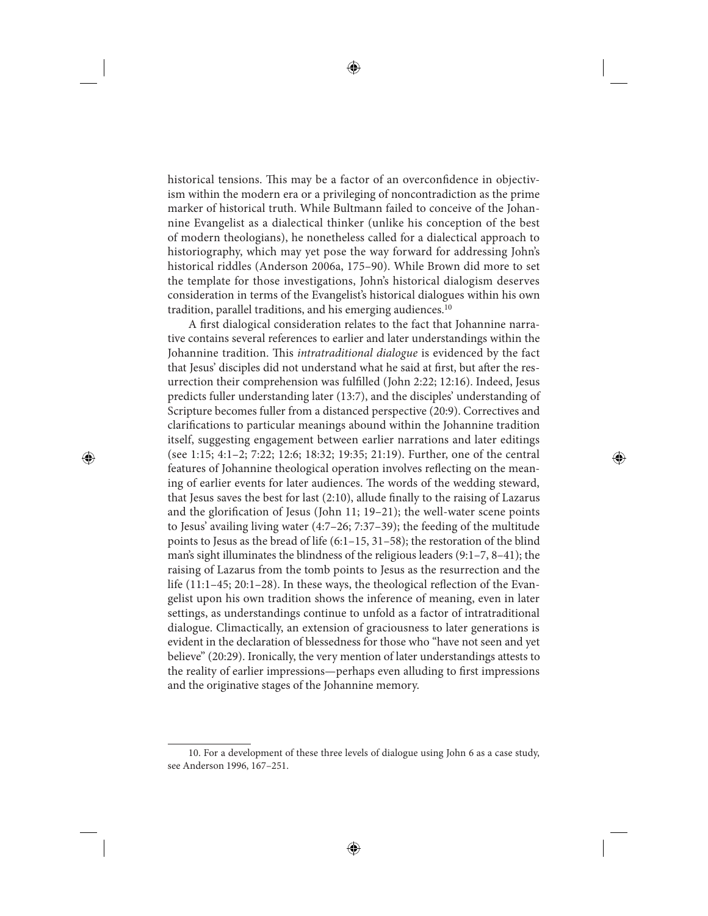historical tensions. This may be a factor of an overconfidence in objectivism within the modern era or a privileging of noncontradiction as the prime marker of historical truth. While Bultmann failed to conceive of the Johannine Evangelist as a dialectical thinker (unlike his conception of the best of modern theologians), he nonetheless called for a dialectical approach to historiography, which may yet pose the way forward for addressing John's historical riddles (Anderson 2006a, 175–90). While Brown did more to set the template for those investigations, John's historical dialogism deserves consideration in terms of the Evangelist's historical dialogues within his own tradition, parallel traditions, and his emerging audiences.<sup>10</sup>

A first dialogical consideration relates to the fact that Johannine narrative contains several references to earlier and later understandings within the Johannine tradition. This *intratraditional dialogue* is evidenced by the fact that Jesus' disciples did not understand what he said at first, but after the resurrection their comprehension was fulfilled (John 2:22; 12:16). Indeed, Jesus predicts fuller understanding later (13:7), and the disciples' understanding of Scripture becomes fuller from a distanced perspective (20:9). Correctives and clarifications to particular meanings abound within the Johannine tradition itself, suggesting engagement between earlier narrations and later editings (see 1:15; 4:1–2; 7:22; 12:6; 18:32; 19:35; 21:19). Further, one of the central features of Johannine theological operation involves reflecting on the meaning of earlier events for later audiences. The words of the wedding steward, that Jesus saves the best for last (2:10), allude finally to the raising of Lazarus and the glorification of Jesus (John 11; 19–21); the well-water scene points to Jesus' availing living water (4:7–26; 7:37–39); the feeding of the multitude points to Jesus as the bread of life (6:1–15, 31–58); the restoration of the blind man's sight illuminates the blindness of the religious leaders (9:1–7, 8–41); the raising of Lazarus from the tomb points to Jesus as the resurrection and the life (11:1–45; 20:1–28). In these ways, the theological reflection of the Evangelist upon his own tradition shows the inference of meaning, even in later settings, as understandings continue to unfold as a factor of intratraditional dialogue. Climactically, an extension of graciousness to later generations is evident in the declaration of blessedness for those who "have not seen and yet believe" (20:29). Ironically, the very mention of later understandings attests to the reality of earlier impressions—perhaps even alluding to first impressions and the originative stages of the Johannine memory.

<sup>10.</sup> For a development of these three levels of dialogue using John 6 as a case study, see Anderson 1996, 167–251.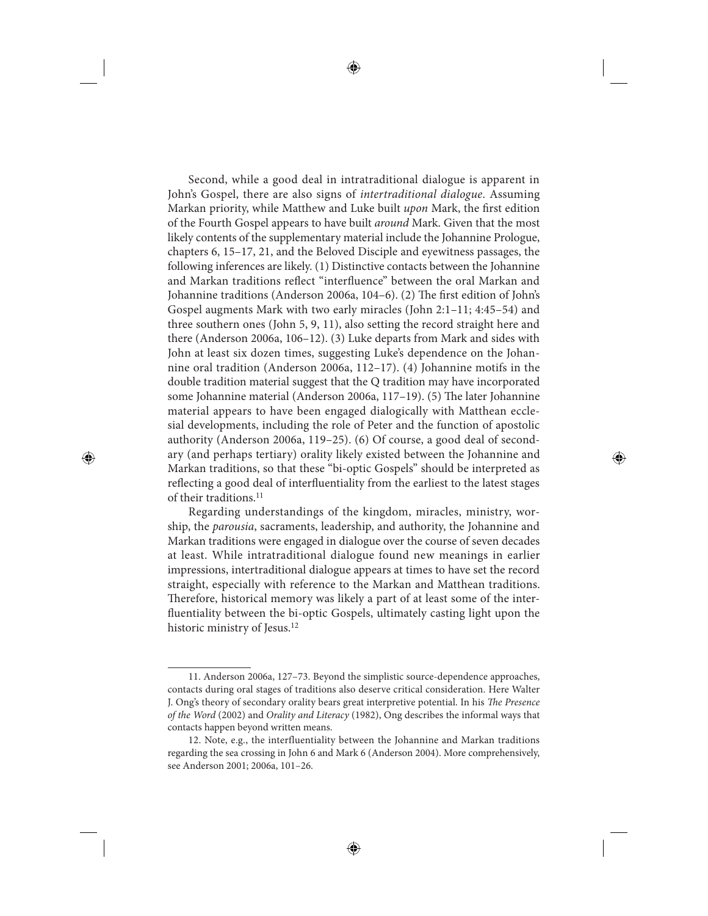Second, while a good deal in intratraditional dialogue is apparent in John's Gospel, there are also signs of *intertraditional dialogue*. Assuming Markan priority, while Matthew and Luke built *upon* Mark, the first edition of the Fourth Gospel appears to have built *around* Mark. Given that the most likely contents of the supplementary material include the Johannine Prologue, chapters 6, 15–17, 21, and the Beloved Disciple and eyewitness passages, the following inferences are likely. (1) Distinctive contacts between the Johannine and Markan traditions reflect "interfluence" between the oral Markan and Johannine traditions (Anderson 2006a, 104–6). (2) The first edition of John's Gospel augments Mark with two early miracles (John 2:1–11; 4:45–54) and three southern ones (John 5, 9, 11), also setting the record straight here and there (Anderson 2006a, 106–12). (3) Luke departs from Mark and sides with John at least six dozen times, suggesting Luke's dependence on the Johannine oral tradition (Anderson 2006a, 112–17). (4) Johannine motifs in the double tradition material suggest that the Q tradition may have incorporated some Johannine material (Anderson 2006a, 117–19). (5) The later Johannine material appears to have been engaged dialogically with Matthean ecclesial developments, including the role of Peter and the function of apostolic authority (Anderson 2006a, 119–25). (6) Of course, a good deal of secondary (and perhaps tertiary) orality likely existed between the Johannine and Markan traditions, so that these "bi-optic Gospels" should be interpreted as reflecting a good deal of interfluentiality from the earliest to the latest stages of their traditions.<sup>11</sup>

Regarding understandings of the kingdom, miracles, ministry, worship, the *parousia*, sacraments, leadership, and authority, the Johannine and Markan traditions were engaged in dialogue over the course of seven decades at least. While intratraditional dialogue found new meanings in earlier impressions, intertraditional dialogue appears at times to have set the record straight, especially with reference to the Markan and Matthean traditions. Therefore, historical memory was likely a part of at least some of the interfluentiality between the bi-optic Gospels, ultimately casting light upon the historic ministry of Jesus.12

<sup>11.</sup> Anderson 2006a, 127–73. Beyond the simplistic source-dependence approaches, contacts during oral stages of traditions also deserve critical consideration. Here Walter J. Ong's theory of secondary orality bears great interpretive potential. In his *The Presence of the Word* (2002) and *Orality and Literacy* (1982), Ong describes the informal ways that contacts happen beyond written means.

<sup>12.</sup> Note, e.g., the interfluentiality between the Johannine and Markan traditions regarding the sea crossing in John 6 and Mark 6 (Anderson 2004). More comprehensively, see Anderson 2001; 2006a, 101–26.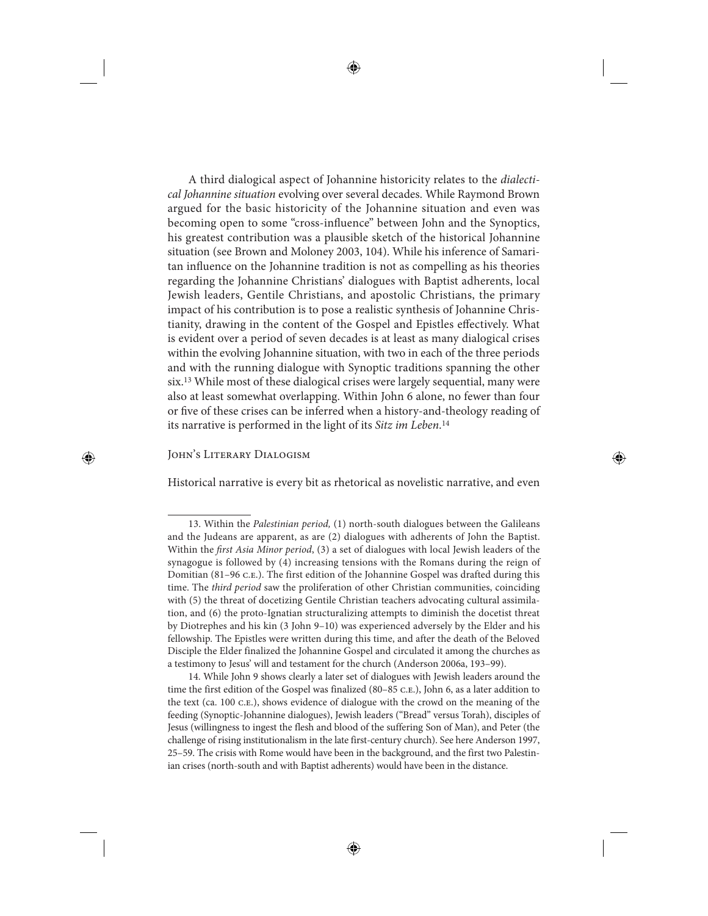A third dialogical aspect of Johannine historicity relates to the *dialectical Johannine situation* evolving over several decades. While Raymond Brown argued for the basic historicity of the Johannine situation and even was becoming open to some "cross-influence" between John and the Synoptics, his greatest contribution was a plausible sketch of the historical Johannine situation (see Brown and Moloney 2003, 104). While his inference of Samaritan influence on the Johannine tradition is not as compelling as his theories regarding the Johannine Christians' dialogues with Baptist adherents, local Jewish leaders, Gentile Christians, and apostolic Christians, the primary impact of his contribution is to pose a realistic synthesis of Johannine Christianity, drawing in the content of the Gospel and Epistles effectively. What is evident over a period of seven decades is at least as many dialogical crises within the evolving Johannine situation, with two in each of the three periods and with the running dialogue with Synoptic traditions spanning the other six.13 While most of these dialogical crises were largely sequential, many were also at least somewhat overlapping. Within John 6 alone, no fewer than four or five of these crises can be inferred when a history-and-theology reading of its narrative is performed in the light of its *Sitz im Leben*. 14

#### John's Literary Dialogism

Historical narrative is every bit as rhetorical as novelistic narrative, and even

<sup>13.</sup> Within the *Palestinian period,* (1) north-south dialogues between the Galileans and the Judeans are apparent, as are (2) dialogues with adherents of John the Baptist. Within the *first Asia Minor period*, (3) a set of dialogues with local Jewish leaders of the synagogue is followed by (4) increasing tensions with the Romans during the reign of Domitian (81–96 c.e.). The first edition of the Johannine Gospel was drafted during this time. The *third period* saw the proliferation of other Christian communities, coinciding with (5) the threat of docetizing Gentile Christian teachers advocating cultural assimilation, and (6) the proto-Ignatian structuralizing attempts to diminish the docetist threat by Diotrephes and his kin (3 John 9–10) was experienced adversely by the Elder and his fellowship. The Epistles were written during this time, and after the death of the Beloved Disciple the Elder finalized the Johannine Gospel and circulated it among the churches as a testimony to Jesus' will and testament for the church (Anderson 2006a, 193–99).

<sup>14.</sup> While John 9 shows clearly a later set of dialogues with Jewish leaders around the time the first edition of the Gospel was finalized (80–85 c.e.), John 6, as a later addition to the text (ca. 100 c.e.), shows evidence of dialogue with the crowd on the meaning of the feeding (Synoptic-Johannine dialogues), Jewish leaders ("Bread" versus Torah), disciples of Jesus (willingness to ingest the flesh and blood of the suffering Son of Man), and Peter (the challenge of rising institutionalism in the late first-century church). See here Anderson 1997, 25–59. The crisis with Rome would have been in the background, and the first two Palestinian crises (north-south and with Baptist adherents) would have been in the distance.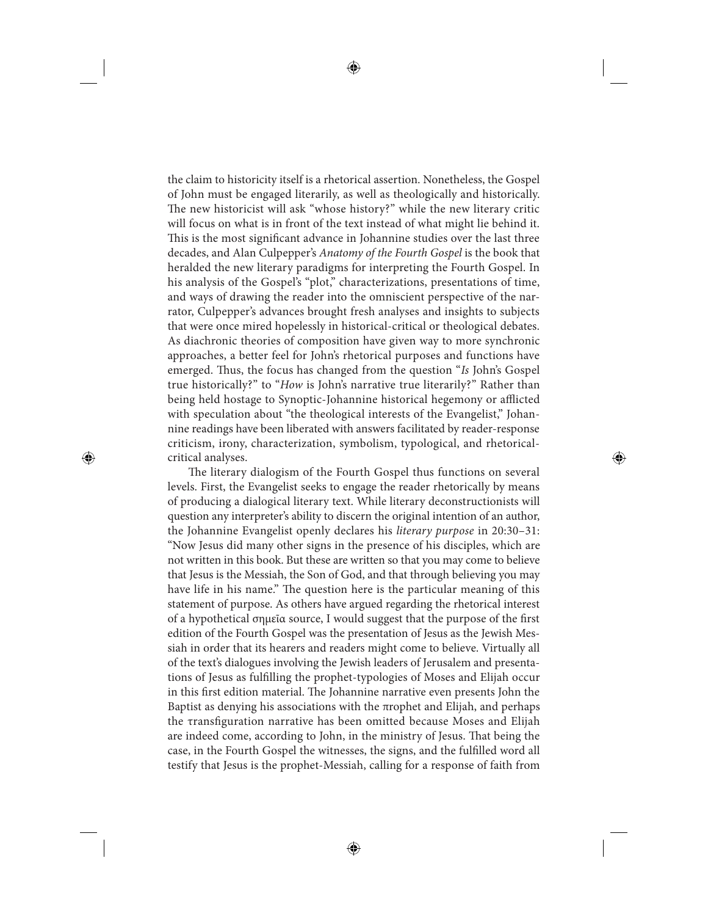the claim to historicity itself is a rhetorical assertion. Nonetheless, the Gospel of John must be engaged literarily, as well as theologically and historically. The new historicist will ask "whose history?" while the new literary critic will focus on what is in front of the text instead of what might lie behind it. This is the most significant advance in Johannine studies over the last three decades, and Alan Culpepper's *Anatomy of the Fourth Gospel* is the book that heralded the new literary paradigms for interpreting the Fourth Gospel. In his analysis of the Gospel's "plot," characterizations, presentations of time, and ways of drawing the reader into the omniscient perspective of the narrator, Culpepper's advances brought fresh analyses and insights to subjects that were once mired hopelessly in historical-critical or theological debates. As diachronic theories of composition have given way to more synchronic approaches, a better feel for John's rhetorical purposes and functions have emerged. Thus, the focus has changed from the question "*Is* John's Gospel true historically?" to "*How* is John's narrative true literarily?" Rather than being held hostage to Synoptic-Johannine historical hegemony or afflicted with speculation about "the theological interests of the Evangelist," Johannine readings have been liberated with answers facilitated by reader-response criticism, irony, characterization, symbolism, typological, and rhetoricalcritical analyses.

The literary dialogism of the Fourth Gospel thus functions on several levels. First, the Evangelist seeks to engage the reader rhetorically by means of producing a dialogical literary text. While literary deconstructionists will question any interpreter's ability to discern the original intention of an author, the Johannine Evangelist openly declares his *literary purpose* in 20:30–31: "Now Jesus did many other signs in the presence of his disciples, which are not written in this book. But these are written so that you may come to believe that Jesus is the Messiah, the Son of God, and that through believing you may have life in his name." The question here is the particular meaning of this statement of purpose. As others have argued regarding the rhetorical interest of a hypothetical σημεῖα source, I would suggest that the purpose of the first edition of the Fourth Gospel was the presentation of Jesus as the Jewish Messiah in order that its hearers and readers might come to believe. Virtually all of the text's dialogues involving the Jewish leaders of Jerusalem and presentations of Jesus as fulfilling the prophet-typologies of Moses and Elijah occur in this first edition material. The Johannine narrative even presents John the Baptist as denying his associations with the  $\pi$ rophet and Elijah, and perhaps the τransfiguration narrative has been omitted because Moses and Elijah are indeed come, according to John, in the ministry of Jesus. That being the case, in the Fourth Gospel the witnesses, the signs, and the fulfilled word all testify that Jesus is the prophet-Messiah, calling for a response of faith from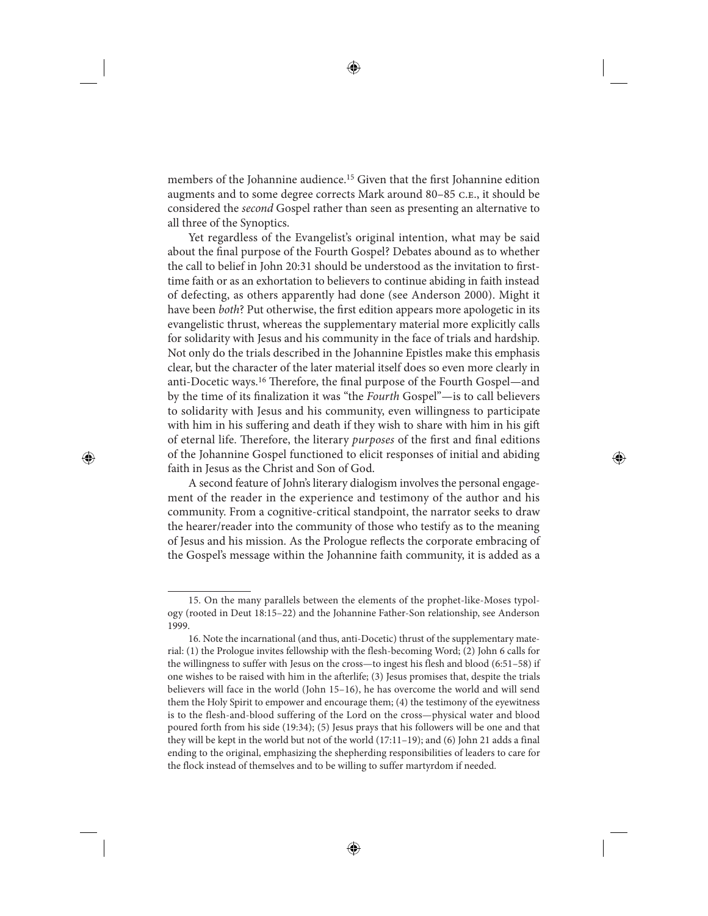members of the Johannine audience.15 Given that the first Johannine edition augments and to some degree corrects Mark around 80–85 c.e., it should be considered the *second* Gospel rather than seen as presenting an alternative to all three of the Synoptics.

Yet regardless of the Evangelist's original intention, what may be said about the final purpose of the Fourth Gospel? Debates abound as to whether the call to belief in John 20:31 should be understood as the invitation to firsttime faith or as an exhortation to believers to continue abiding in faith instead of defecting, as others apparently had done (see Anderson 2000). Might it have been *both*? Put otherwise, the first edition appears more apologetic in its evangelistic thrust, whereas the supplementary material more explicitly calls for solidarity with Jesus and his community in the face of trials and hardship. Not only do the trials described in the Johannine Epistles make this emphasis clear, but the character of the later material itself does so even more clearly in anti-Docetic ways.16 Therefore, the final purpose of the Fourth Gospel—and by the time of its finalization it was "the *Fourth* Gospel"—is to call believers to solidarity with Jesus and his community, even willingness to participate with him in his suffering and death if they wish to share with him in his gift of eternal life. Therefore, the literary *purposes* of the first and final editions of the Johannine Gospel functioned to elicit responses of initial and abiding faith in Jesus as the Christ and Son of God.

A second feature of John's literary dialogism involves the personal engagement of the reader in the experience and testimony of the author and his community. From a cognitive-critical standpoint, the narrator seeks to draw the hearer/reader into the community of those who testify as to the meaning of Jesus and his mission. As the Prologue reflects the corporate embracing of the Gospel's message within the Johannine faith community, it is added as a

<sup>15.</sup> On the many parallels between the elements of the prophet-like-Moses typology (rooted in Deut 18:15–22) and the Johannine Father-Son relationship, see Anderson 1999.

<sup>16.</sup> Note the incarnational (and thus, anti-Docetic) thrust of the supplementary material: (1) the Prologue invites fellowship with the flesh-becoming Word; (2) John 6 calls for the willingness to suffer with Jesus on the cross—to ingest his flesh and blood (6:51–58) if one wishes to be raised with him in the afterlife; (3) Jesus promises that, despite the trials believers will face in the world (John 15–16), he has overcome the world and will send them the Holy Spirit to empower and encourage them; (4) the testimony of the eyewitness is to the flesh-and-blood suffering of the Lord on the cross—physical water and blood poured forth from his side (19:34); (5) Jesus prays that his followers will be one and that they will be kept in the world but not of the world (17:11–19); and (6) John 21 adds a final ending to the original, emphasizing the shepherding responsibilities of leaders to care for the flock instead of themselves and to be willing to suffer martyrdom if needed.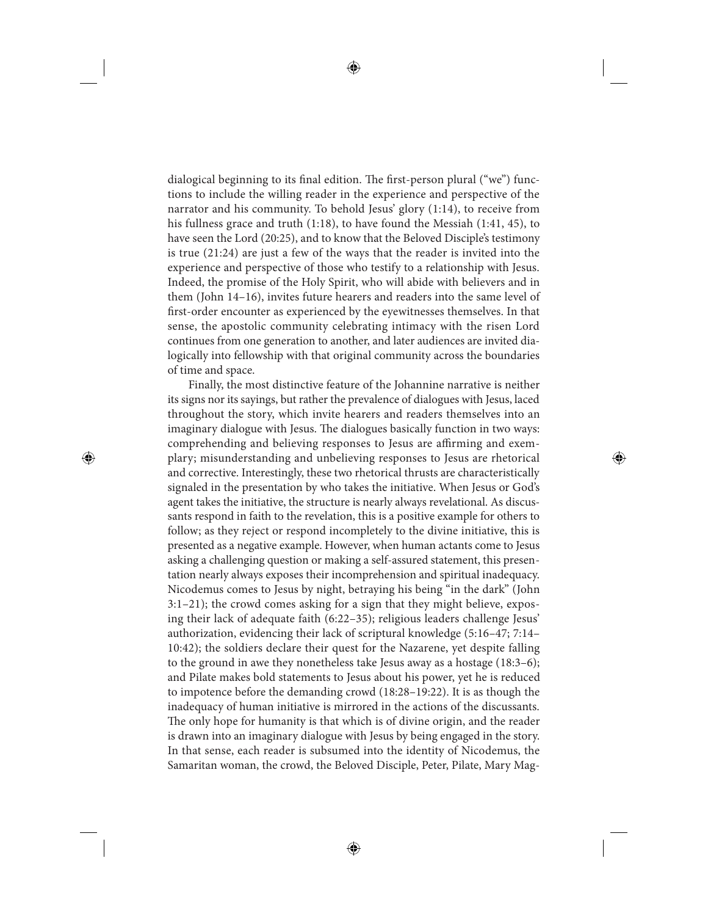dialogical beginning to its final edition. The first-person plural ("we") functions to include the willing reader in the experience and perspective of the narrator and his community. To behold Jesus' glory (1:14), to receive from his fullness grace and truth (1:18), to have found the Messiah (1:41, 45), to have seen the Lord (20:25), and to know that the Beloved Disciple's testimony is true (21:24) are just a few of the ways that the reader is invited into the experience and perspective of those who testify to a relationship with Jesus. Indeed, the promise of the Holy Spirit, who will abide with believers and in them (John 14–16), invites future hearers and readers into the same level of first-order encounter as experienced by the eyewitnesses themselves. In that sense, the apostolic community celebrating intimacy with the risen Lord continues from one generation to another, and later audiences are invited dialogically into fellowship with that original community across the boundaries of time and space.

Finally, the most distinctive feature of the Johannine narrative is neither its signs nor its sayings, but rather the prevalence of dialogues with Jesus, laced throughout the story, which invite hearers and readers themselves into an imaginary dialogue with Jesus. The dialogues basically function in two ways: comprehending and believing responses to Jesus are affirming and exemplary; misunderstanding and unbelieving responses to Jesus are rhetorical and corrective. Interestingly, these two rhetorical thrusts are characteristically signaled in the presentation by who takes the initiative. When Jesus or God's agent takes the initiative, the structure is nearly always revelational. As discussants respond in faith to the revelation, this is a positive example for others to follow; as they reject or respond incompletely to the divine initiative, this is presented as a negative example. However, when human actants come to Jesus asking a challenging question or making a self-assured statement, this presentation nearly always exposes their incomprehension and spiritual inadequacy. Nicodemus comes to Jesus by night, betraying his being "in the dark" (John 3:1–21); the crowd comes asking for a sign that they might believe, exposing their lack of adequate faith (6:22–35); religious leaders challenge Jesus' authorization, evidencing their lack of scriptural knowledge (5:16–47; 7:14– 10:42); the soldiers declare their quest for the Nazarene, yet despite falling to the ground in awe they nonetheless take Jesus away as a hostage (18:3–6); and Pilate makes bold statements to Jesus about his power, yet he is reduced to impotence before the demanding crowd (18:28–19:22). It is as though the inadequacy of human initiative is mirrored in the actions of the discussants. The only hope for humanity is that which is of divine origin, and the reader is drawn into an imaginary dialogue with Jesus by being engaged in the story. In that sense, each reader is subsumed into the identity of Nicodemus, the Samaritan woman, the crowd, the Beloved Disciple, Peter, Pilate, Mary Mag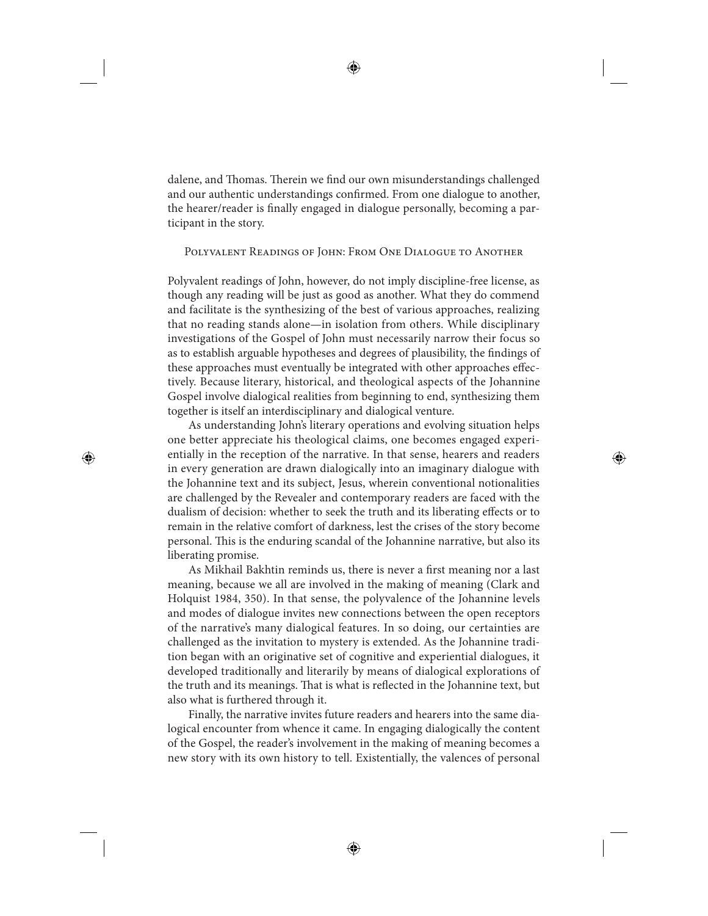dalene, and Thomas. Therein we find our own misunderstandings challenged and our authentic understandings confirmed. From one dialogue to another, the hearer/reader is finally engaged in dialogue personally, becoming a participant in the story.

Polyvalent Readings of John: From One Dialogue to Another

Polyvalent readings of John, however, do not imply discipline-free license, as though any reading will be just as good as another. What they do commend and facilitate is the synthesizing of the best of various approaches, realizing that no reading stands alone—in isolation from others. While disciplinary investigations of the Gospel of John must necessarily narrow their focus so as to establish arguable hypotheses and degrees of plausibility, the findings of these approaches must eventually be integrated with other approaches effectively. Because literary, historical, and theological aspects of the Johannine Gospel involve dialogical realities from beginning to end, synthesizing them together is itself an interdisciplinary and dialogical venture.

As understanding John's literary operations and evolving situation helps one better appreciate his theological claims, one becomes engaged experientially in the reception of the narrative. In that sense, hearers and readers in every generation are drawn dialogically into an imaginary dialogue with the Johannine text and its subject, Jesus, wherein conventional notionalities are challenged by the Revealer and contemporary readers are faced with the dualism of decision: whether to seek the truth and its liberating effects or to remain in the relative comfort of darkness, lest the crises of the story become personal. This is the enduring scandal of the Johannine narrative, but also its liberating promise.

As Mikhail Bakhtin reminds us, there is never a first meaning nor a last meaning, because we all are involved in the making of meaning (Clark and Holquist 1984, 350). In that sense, the polyvalence of the Johannine levels and modes of dialogue invites new connections between the open receptors of the narrative's many dialogical features. In so doing, our certainties are challenged as the invitation to mystery is extended. As the Johannine tradition began with an originative set of cognitive and experiential dialogues, it developed traditionally and literarily by means of dialogical explorations of the truth and its meanings. That is what is reflected in the Johannine text, but also what is furthered through it.

Finally, the narrative invites future readers and hearers into the same dialogical encounter from whence it came. In engaging dialogically the content of the Gospel, the reader's involvement in the making of meaning becomes a new story with its own history to tell. Existentially, the valences of personal